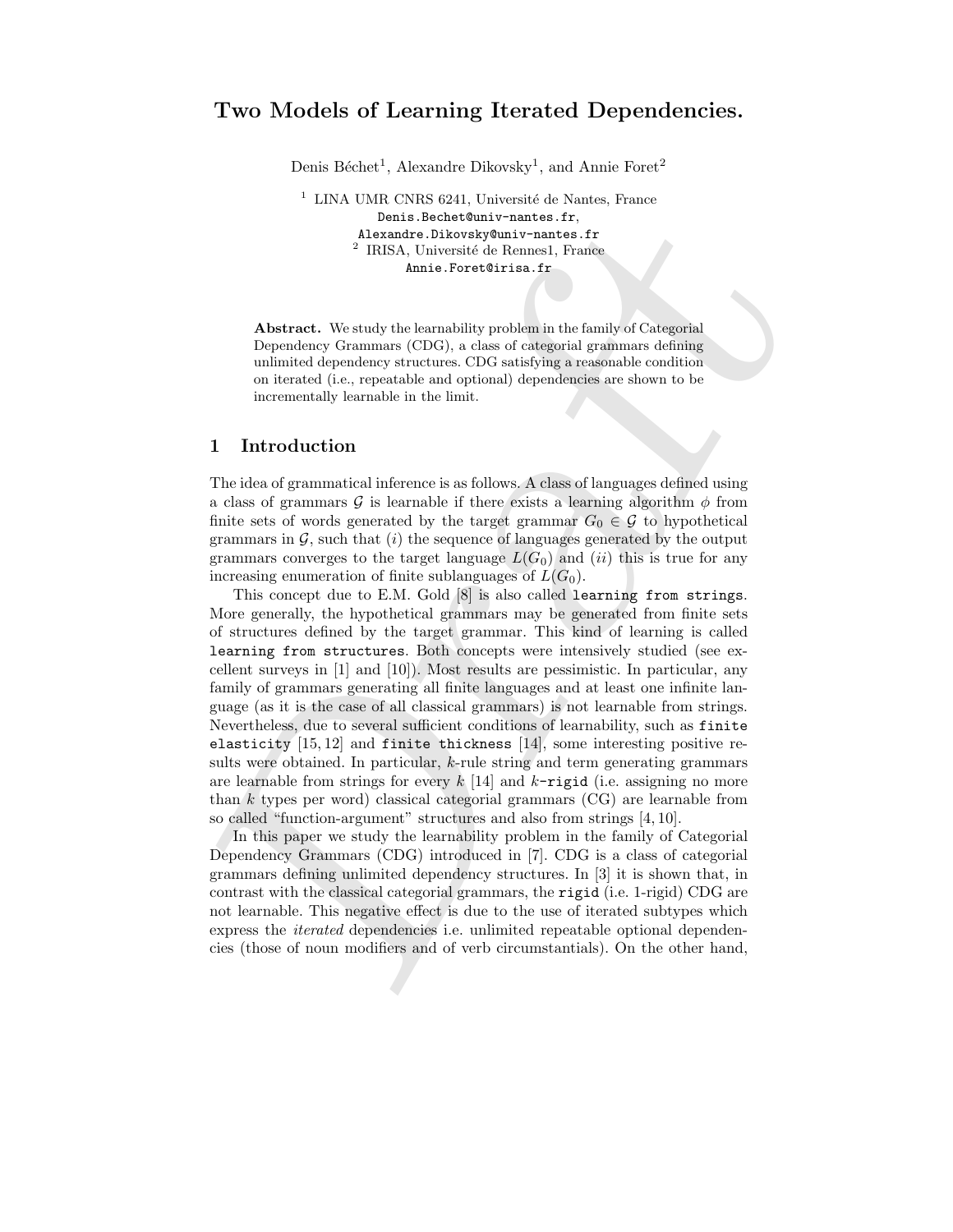# Two Models of Learning Iterated Dependencies.

Denis Béchet<sup>1</sup>, Alexandre Dikovsky<sup>1</sup>, and Annie Foret<sup>2</sup>

 $1$  LINA UMR CNRS 6241, Université de Nantes, France Denis.Bechet@univ-nantes.fr, Alexandre.Dikovsky@univ-nantes.fr <sup>2</sup> IRISA, Université de Rennes1, France Annie.Foret@irisa.fr

Abstract. We study the learnability problem in the family of Categorial Dependency Grammars (CDG), a class of categorial grammars defining unlimited dependency structures. CDG satisfying a reasonable condition on iterated (i.e., repeatable and optional) dependencies are shown to be incrementally learnable in the limit.

### 1 Introduction

The idea of grammatical inference is as follows. A class of languages defined using a class of grammars G is learnable if there exists a learning algorithm  $\phi$  from finite sets of words generated by the target grammar  $G_0 \in \mathcal{G}$  to hypothetical grammars in  $\mathcal{G}$ , such that  $(i)$  the sequence of languages generated by the output grammars converges to the target language  $L(G_0)$  and *(ii)* this is true for any increasing enumeration of finite sublanguages of  $L(G_0)$ .

**Density-bands are therefore that the Reparents are the section of the simulation of the content of the content of the simulation of the simulation of the simulation of the simulation of the simulation of the simulation o** This concept due to E.M. Gold [8] is also called learning from strings. More generally, the hypothetical grammars may be generated from finite sets of structures defined by the target grammar. This kind of learning is called learning from structures. Both concepts were intensively studied (see excellent surveys in [1] and [10]). Most results are pessimistic. In particular, any family of grammars generating all finite languages and at least one infinite language (as it is the case of all classical grammars) is not learnable from strings. Nevertheless, due to several sufficient conditions of learnability, such as finite elasticity [15, 12] and finite thickness [14], some interesting positive results were obtained. In particular,  $k$ -rule string and term generating grammars are learnable from strings for every  $k$  [14] and  $k$ -rigid (i.e. assigning no more than k types per word) classical categorial grammars  $(CG)$  are learnable from so called "function-argument" structures and also from strings [4, 10].

In this paper we study the learnability problem in the family of Categorial Dependency Grammars (CDG) introduced in [7]. CDG is a class of categorial grammars defining unlimited dependency structures. In [3] it is shown that, in contrast with the classical categorial grammars, the rigid (i.e. 1-rigid) CDG are not learnable. This negative effect is due to the use of iterated subtypes which express the *iterated* dependencies i.e. unlimited repeatable optional dependencies (those of noun modifiers and of verb circumstantials). On the other hand,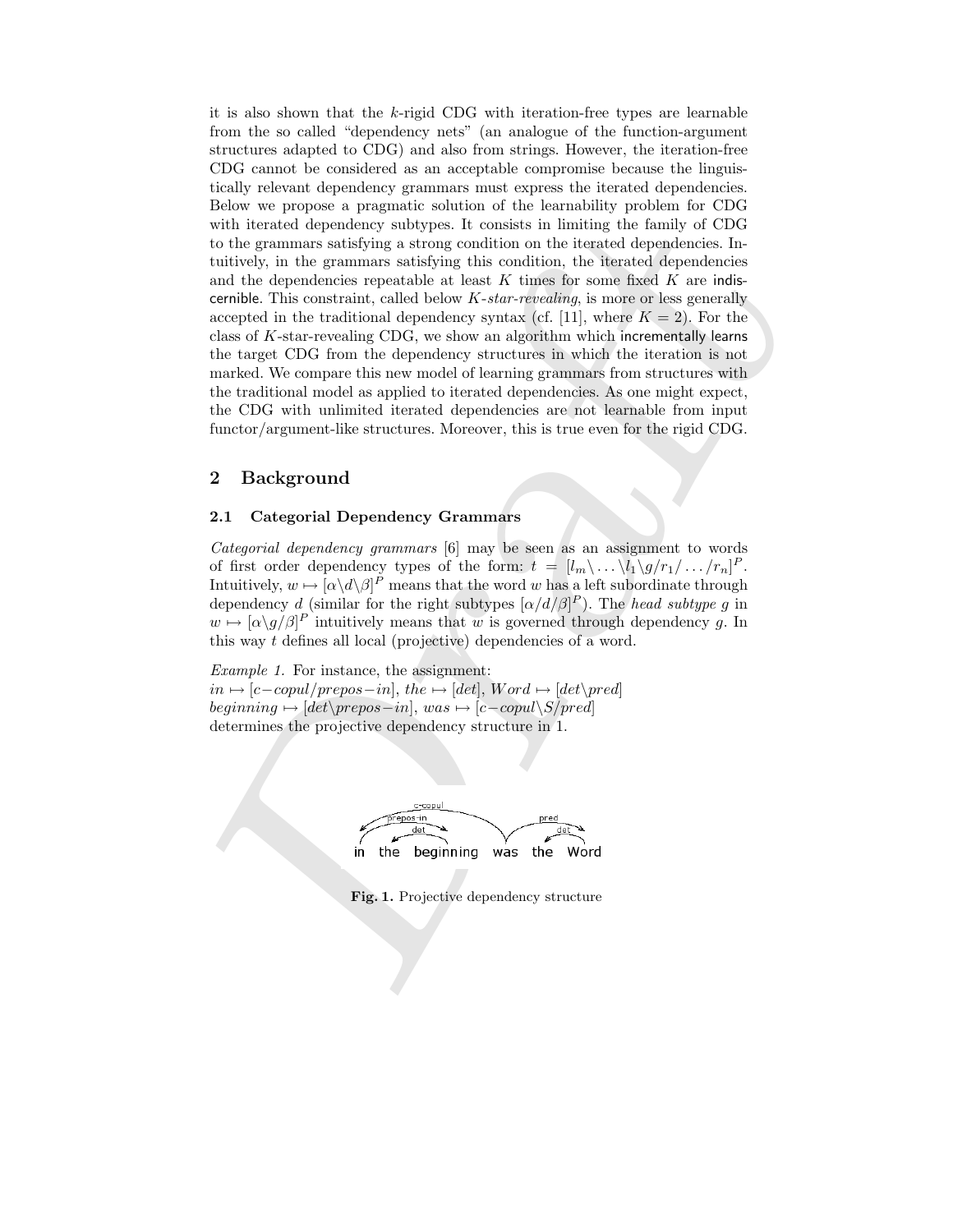with its<br>cated dependency saityby as . It consists in limiting the found of CDG<br>in the first of the parameters and the<br>symmetry and the streng condition on the literated dependencies in<br>smitted the communic satisfying tha it is also shown that the k-rigid CDG with iteration-free types are learnable from the so called "dependency nets" (an analogue of the function-argument structures adapted to CDG) and also from strings. However, the iteration-free CDG cannot be considered as an acceptable compromise because the linguistically relevant dependency grammars must express the iterated dependencies. Below we propose a pragmatic solution of the learnability problem for CDG with iterated dependency subtypes. It consists in limiting the family of CDG to the grammars satisfying a strong condition on the iterated dependencies. Intuitively, in the grammars satisfying this condition, the iterated dependencies and the dependencies repeatable at least  $K$  times for some fixed  $K$  are indiscernible. This constraint, called below K-*star-revealing*, is more or less generally accepted in the traditional dependency syntax (cf. [11], where  $K = 2$ ). For the class of  $K$ -star-revealing CDG, we show an algorithm which incrementally learns the target CDG from the dependency structures in which the iteration is not marked. We compare this new model of learning grammars from structures with the traditional model as applied to iterated dependencies. As one might expect, the CDG with unlimited iterated dependencies are not learnable from input functor/argument-like structures. Moreover, this is true even for the rigid CDG.

# 2 Background

#### 2.1 Categorial Dependency Grammars

*Categorial dependency grammars* [6] may be seen as an assignment to words of first order dependency types of the form:  $t = [l_m \langle \dots \langle l_1 \rangle g / r_1 / \dots / r_n]^P$ . Intuitively,  $w \mapsto [\alpha \backslash d \backslash \beta]^P$  means that the word w has a left subordinate through dependency d (similar for the right subtypes  $\left[\alpha/d/\beta\right]^P$ ). The *head subtype* g in  $w \mapsto [\alpha \setminus g/\beta]^P$  intuitively means that w is governed through dependency g. In this way  $t$  defines all local (projective) dependencies of a word.

*Example 1.* For instance, the assignment:  $in \rightarrow [c-copul/prepos-in],$  the  $\rightarrow [det],$  W ord  $\rightarrow [det\backslash pred]$ beginning  $\mapsto [det\$ grepos−in], was  $\mapsto [c-copul\$ S/pred] determines the projective dependency structure in 1.



Fig. 1. Projective dependency structure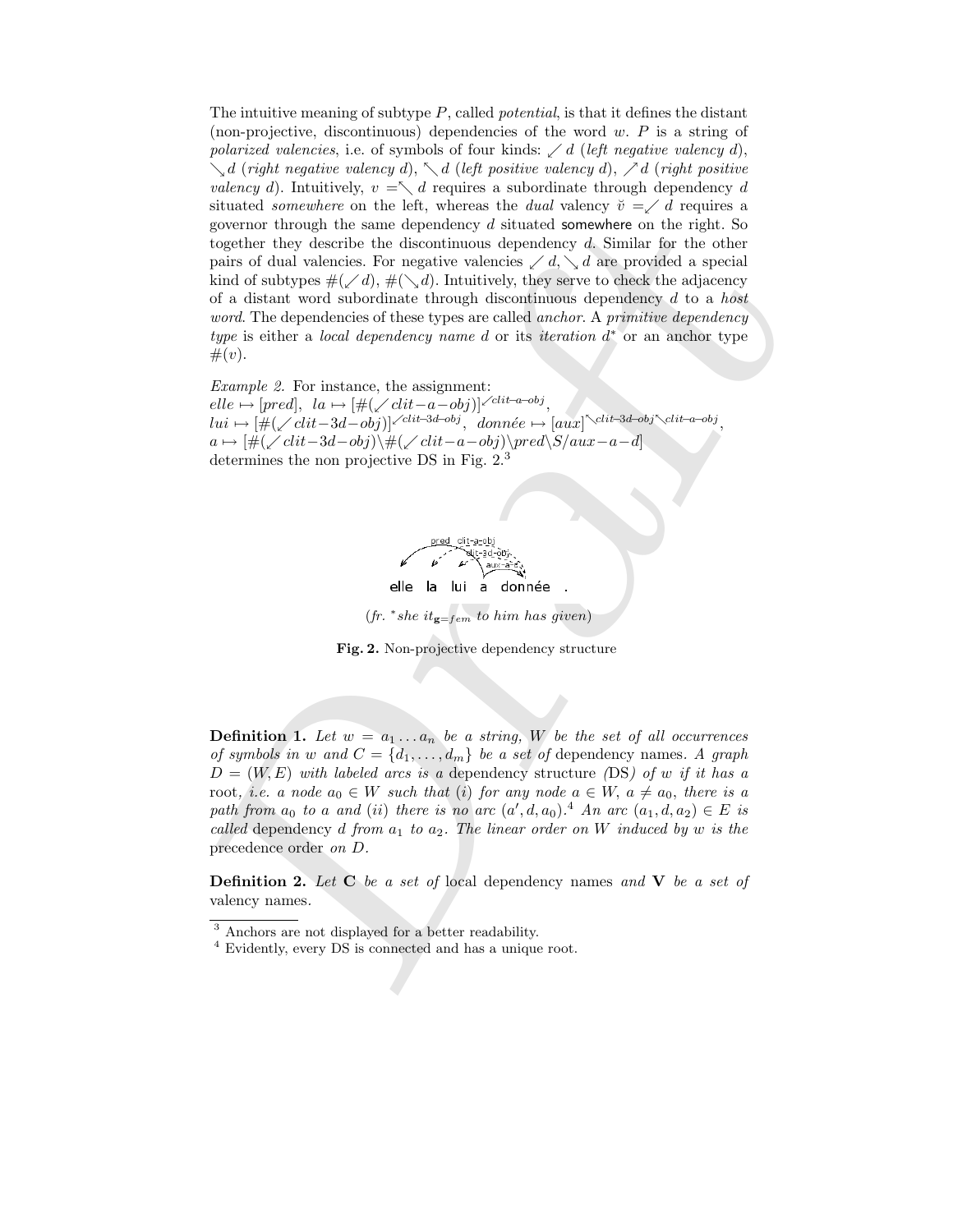governo through the same dependency of situated somewhere on the right. So that is sense of that in the situated formula position of the situation of the situation of the situation of the situation of the situation of the The intuitive meaning of subtype P, called *potential*, is that it defines the distant (non-projective, discontinuous) dependencies of the word  $w$ .  $P$  is a string of *polarized valencies*, i.e. of symbols of four kinds:  $\angle d$  (*left negative valency* d),  $\setminus d$  (*right negative valency* d),  $\setminus d$  (*left positive valency* d),  $\nearrow d$  (*right positive valency* d). Intuitively,  $v = \langle d \rangle$  requires a subordinate through dependency d situated *somewhere* on the left, whereas the *dual* valency  $\check{v} = \checkmark d$  requires a governor through the same dependency d situated somewhere on the right. So together they describe the discontinuous dependency d. Similar for the other pairs of dual valencies. For negative valencies  $\angle d$ ,  $\Diamond d$  are provided a special kind of subtypes  $\#(\checkmark d), \#(\checkmark d)$ . Intuitively, they serve to check the adjacency of a distant word subordinate through discontinuous dependency d to a *host word*. The dependencies of these types are called *anchor*. A *primitive dependency type* is either a *local dependency name d* or its *iteration d*<sup>∗</sup> or an anchor type  $\#(v).$ 

*Example 2.* For instance, the assignment:  $elle \mapsto [pred], \ \ la \mapsto [\#(\swarrow clit-a-obj)]^{\swarrow clit-a-obj},$  $lui \mapsto [\#(\swarrow \textit{clit}-3d-\textit{obj})]^{\swarrow \textit{clit}-3d-\textit{obj}}, \; \textit{donnée} \mapsto [\textit{aux}]^{\nwarrow \textit{clit}-3d-\textit{obj}\nwarrow \textit{clit}-a-\textit{obj}},$  $a \mapsto [\#(\angle \text{clit}-3d-obj)\#(\angle \text{clit}-a-obj)\ \text{pred}\ \text{S}/aux-a-d]$ determines the non projective DS in Fig. 2.<sup>3</sup>





**Definition 1.** Let  $w = a_1 \ldots a_n$  be a string, W be the set of all occurrences *of symbols in* w and  $C = \{d_1, \ldots, d_m\}$  *be a set of* dependency names. A graph  $D = (W, E)$  *with labeled arcs is a* dependency structure *(DS) of w if it has a* root, *i.e.* a node  $a_0 \in W$  *such that* (*i*) *for any node*  $a \in W$ ,  $a \neq a_0$ , *there is a path from*  $a_0$  *to a and* (*ii*) *there is no arc*  $(a', d, a_0)$ .<sup>4</sup> *An arc*  $(a_1, d, a_2) \in E$  *is called* dependency d *from*  $a_1$  *to*  $a_2$ *. The linear order on* W *induced by* w *is the* precedence order *on* D*.*

Definition 2. *Let* C *be a set of* local dependency names *and* V *be a set of* valency names*.*

<sup>3</sup> Anchors are not displayed for a better readability.

<sup>4</sup> Evidently, every DS is connected and has a unique root.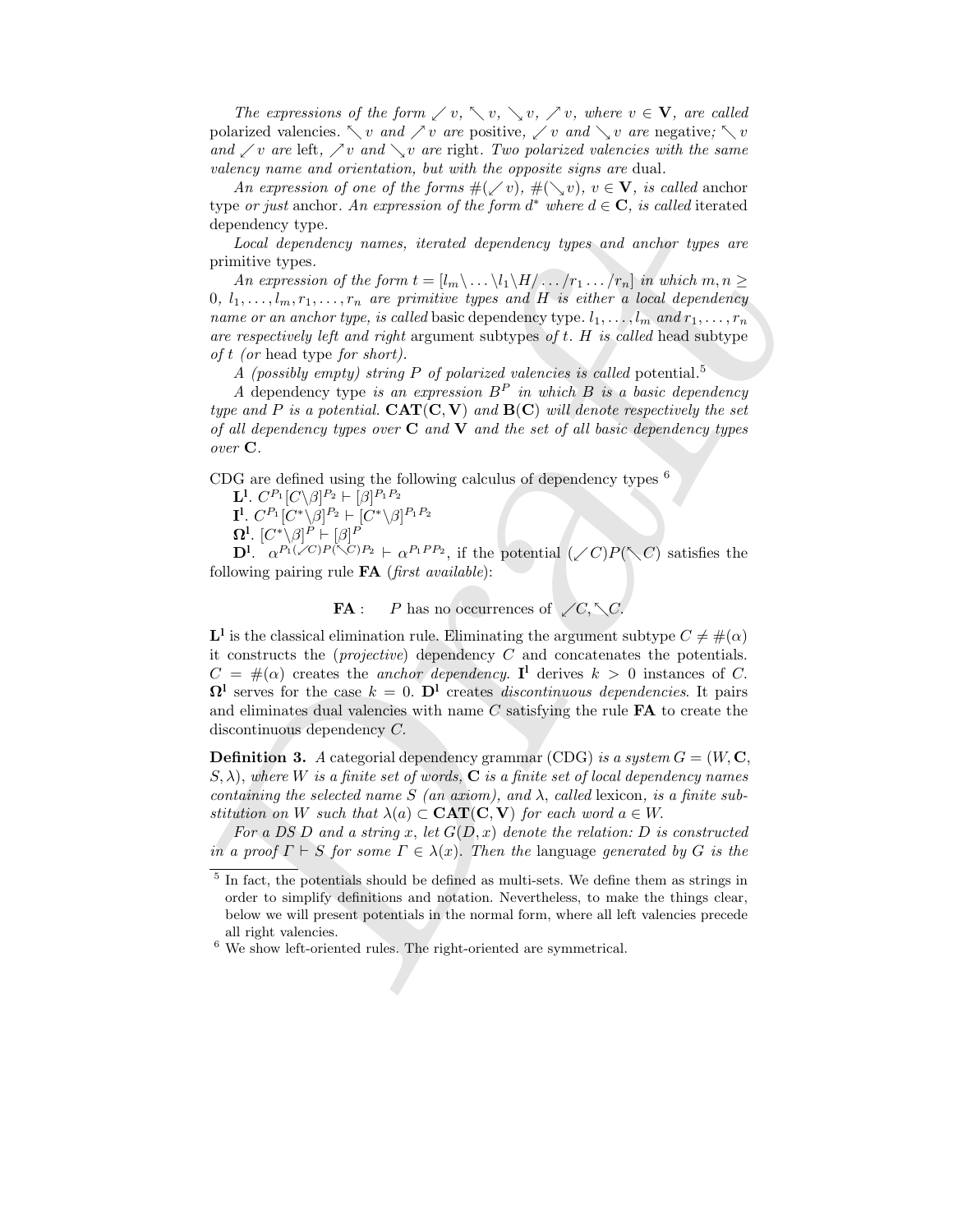*The expressions of the form*  $\swarrow v, \searrow v, \searrow v, \searrow v$ *, where*  $v \in \mathbf{V}$ *, are called* polarized valencies.  $\searrow v$  *and*  $\nearrow v$  *are* positive,  $\nearrow v$  *and*  $\nearrow v$  *are* negative;  $\nearrow v$ *and*  $\swarrow v$  *are* left,  $\nearrow v$  *and*  $\searrow v$  *are* right. Two polarized valencies with the same *valency name and orientation, but with the opposite signs are* dual*.*

*An expression of one of the forms*  $\#(\swarrow v), \#(\searrow v), v \in \mathbf{V}$ *, is called* anchor type *or just* anchor. An expression of the form  $d^*$  where  $d \in \mathbb{C}$ , is called iterated dependency type*.*

*Local dependency names, iterated dependency types and anchor types are* primitive types*.*

*An expression of the form*  $t = [l_m \backslash ... \backslash l_1 \backslash H / ... /r_1 ... /r_n]$  *in which*  $m, n \geq$ 0,  $l_1, \ldots, l_m, r_1, \ldots, r_n$  are primitive types and H is either a local dependency *name or an anchor type, is called* basic dependency type.  $l_1, \ldots, l_m$  and  $r_1, \ldots, r_n$ *are respectively left and right* argument subtypes *of* t*.* H *is called* head subtype *of* t *(or* head type *for short).*

*A (possibly empty) string* P *of polarized valencies is called* potential*.* 5

*A* dependency type *is an expression* B<sup>P</sup> *in which* B *is a basic dependency type and* P *is a potential.* CAT(C, V) *and* B(C) *will denote respectively the set of all dependency types over* C *and* V *and the set of all basic dependency types over* C*.*

CDG are defined using the following calculus of dependency types <sup>6</sup>

 $\mathbf{L}^{\mathbf{l}}$ .  $C^{P_1}[C\backslash\beta]^{P_2}\vdash [\beta]^{P_1P_2}$ 

 $\mathbf{I}^{\mathbf{l}}$ .  $C^{P_1}[C^*\backslash \beta]^{P_2} \vdash [C^*\backslash \beta]^{P_1P_2}$ 

 $\Omega^{\rm l}\!\!\!$ .  $[C^*\backslash\beta]^{\check{P}}\,\,\vdash[\beta]^P$ 

 ${\bf D}^1$ ,  $\alpha^{P_1(\mathcal{M})P(\mathcal{M})P_2} \vdash \alpha^{P_1P_{22}}$ , if the potential  $(\mathcal{M})P(\mathcal{M})$  satisfies the following pairing rule FA (*first available*):

**FA** : P has no occurrences of  $\angle C, \angle C$ .

dependence types are proposition of the form of the state of the state of the state dependence of the form  $t = [l_n, \ldots, l_n, M, M, \ldots, r_1, \ldots, r_n]$  in which  $m_1 \ge 0$ , In calculation to propose and  $H$  is called the a local dep  $\mathbf{L}^1$  is the classical elimination rule. Eliminating the argument subtype  $C \neq \#(\alpha)$ it constructs the (*projective*) dependency C and concatenates the potentials.  $C = \#(\alpha)$  creates the *anchor dependency*. I<sup>1</sup> derives  $k > 0$  instances of C.  $\Omega^1$  serves for the case  $k = 0$ .  $D^1$  creates *discontinuous dependencies*. It pairs and eliminates dual valencies with name  $C$  satisfying the rule  $FA$  to create the discontinuous dependency C.

**Definition 3.** A categorial dependency grammar (CDG) is a system  $G = (W, \mathbf{C}, \mathbf{C})$  $(S, \lambda)$ , where W *is a finite set of words*, **C** *is a finite set of local dependency names containing the selected name* S *(an axiom), and* λ, *called* lexicon*, is a finite substitution on* W *such that*  $\lambda(a) \subset \text{CAT}(C, V)$  *for each word*  $a \in W$ .

*For a DS* D *and a string* x, *let* G(D, x) *denote the relation:* D *is constructed in a proof*  $\Gamma \vdash S$  *for some*  $\Gamma \in \lambda(x)$ . *Then the* language *generated by* G *is the* 

<sup>&</sup>lt;sup>5</sup> In fact, the potentials should be defined as multi-sets. We define them as strings in order to simplify definitions and notation. Nevertheless, to make the things clear, below we will present potentials in the normal form, where all left valencies precede all right valencies.

 $^6$  We show left-oriented rules. The right-oriented are symmetrical.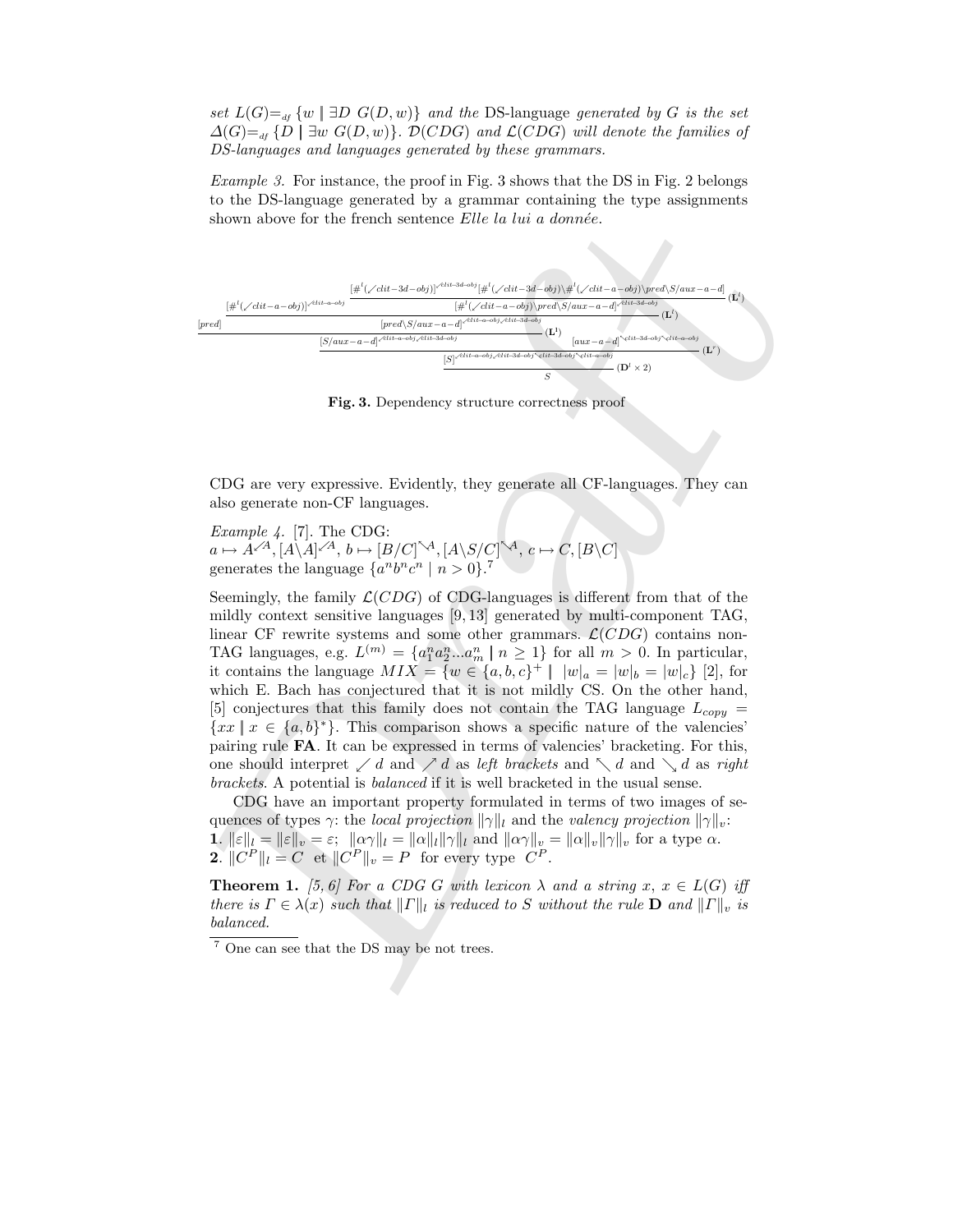*set*  $L(G) =$ <sub>*df*</sub>  $\{w \mid \exists D \ G(D, w)\}$  *and the* DS-language *generated by* G *is the set*  $\Delta(G) =_{df} \{D \mid \exists w \ G(D, w)\}\$ .  $\mathcal{D}(CDG)$  and  $\mathcal{L}(CDG)$  will denote the families of *DS-languages and languages generated by these grammars.*

*Example 3.* For instance, the proof in Fig. 3 shows that the DS in Fig. 2 belongs to the DS-language generated by a grammar containing the type assignments shown above for the french sentence  $Elle la lui a *donnée*.$ 



Fig. 3. Dependency structure correctness proof

CDG are very expressive. Evidently, they generate all CF-languages. They can also generate non-CF languages.

*Example 4.* [7]. The CDG:  $a \mapsto A^{\angle A}, [A\backslash A]^{\angle A}, b \mapsto [B/C]^{\diagdown\mathcal{A}}, [A\backslash S/C]^{\diagdown\mathcal{A}}, c \mapsto C, [B\backslash C]$ generates the language  $\{a^n b^n c^n \mid n > 0\}$ .<sup>7</sup>

shown above for the french sentence Ellic in this domain<br>  $\frac{|S^1(x)dx - 3dx - 4dy|^{\alpha n - \alpha n}}{|S^1(x)dx - 3dx - 4dy|^{\alpha n - \alpha n}}\frac{|S^1(x)dx - 3dx - 3dy]dx^{\alpha n}S^{\alpha n - \alpha n}dx^{\alpha n}}{|S^1(x)dx - 3dx|^{\alpha n}}\frac{|\nabla\left(x\right)dx - 3dx\right)^{\alpha n}S^{\alpha n - \alpha n}}{|S^1(x)dx - 3dx|^{\alpha n}}\frac{$ Seemingly, the family  $\mathcal{L}(CDG)$  of CDG-languages is different from that of the mildly context sensitive languages [9, 13] generated by multi-component TAG, linear CF rewrite systems and some other grammars.  $\mathcal{L}(CDG)$  contains non-TAG languages, e.g.  $L^{(m)} = \{a_1^n a_2^n ... a_m^n \mid n \geq 1\}$  for all  $m > 0$ . In particular, it contains the language  $MIX = \{w \in \{a, b, c\}^+ \mid |w|_a = |w|_b = |w|_c\}$  [2], for which E. Bach has conjectured that it is not mildly CS. On the other hand, [5] conjectures that this family does not contain the TAG language  $L_{copy}$  =  $\{xx \mid x \in \{a,b\}^*\}.$  This comparison shows a specific nature of the valencies' pairing rule FA. It can be expressed in terms of valencies' bracketing. For this, one should interpret  $\angle d$  and  $\angle d$  as *left brackets* and  $\diagdown d$  and  $\diagdown d$  as *right brackets*. A potential is *balanced* if it is well bracketed in the usual sense.

CDG have an important property formulated in terms of two images of sequences of types  $\gamma$ : the *local projection*  $\|\gamma\|_l$  and the *valency projection*  $\|\gamma\|_v$ : 1.  $\|\varepsilon\|_l = \|\varepsilon\|_v = \varepsilon$ ;  $\|\alpha\gamma\|_l = \|\alpha\|_l \|\gamma\|_l$  and  $\|\alpha\gamma\|_v = \|\alpha\|_v \|\gamma\|_v$  for a type  $\alpha$ . 2.  $||C^P||_l = C$  et  $||C^P||_v = P$  for every type  $C^P$ .

**Theorem 1.** [5, 6] For a CDG G with lexicon  $\lambda$  and a string  $x, x \in L(G)$  iff *there is*  $\Gamma \in \lambda(x)$  *such that*  $\|\Gamma\|_l$  *is reduced to* S *without the rule* **D** *and*  $\|\Gamma\|_v$  *is balanced.*

<sup>7</sup> One can see that the DS may be not trees.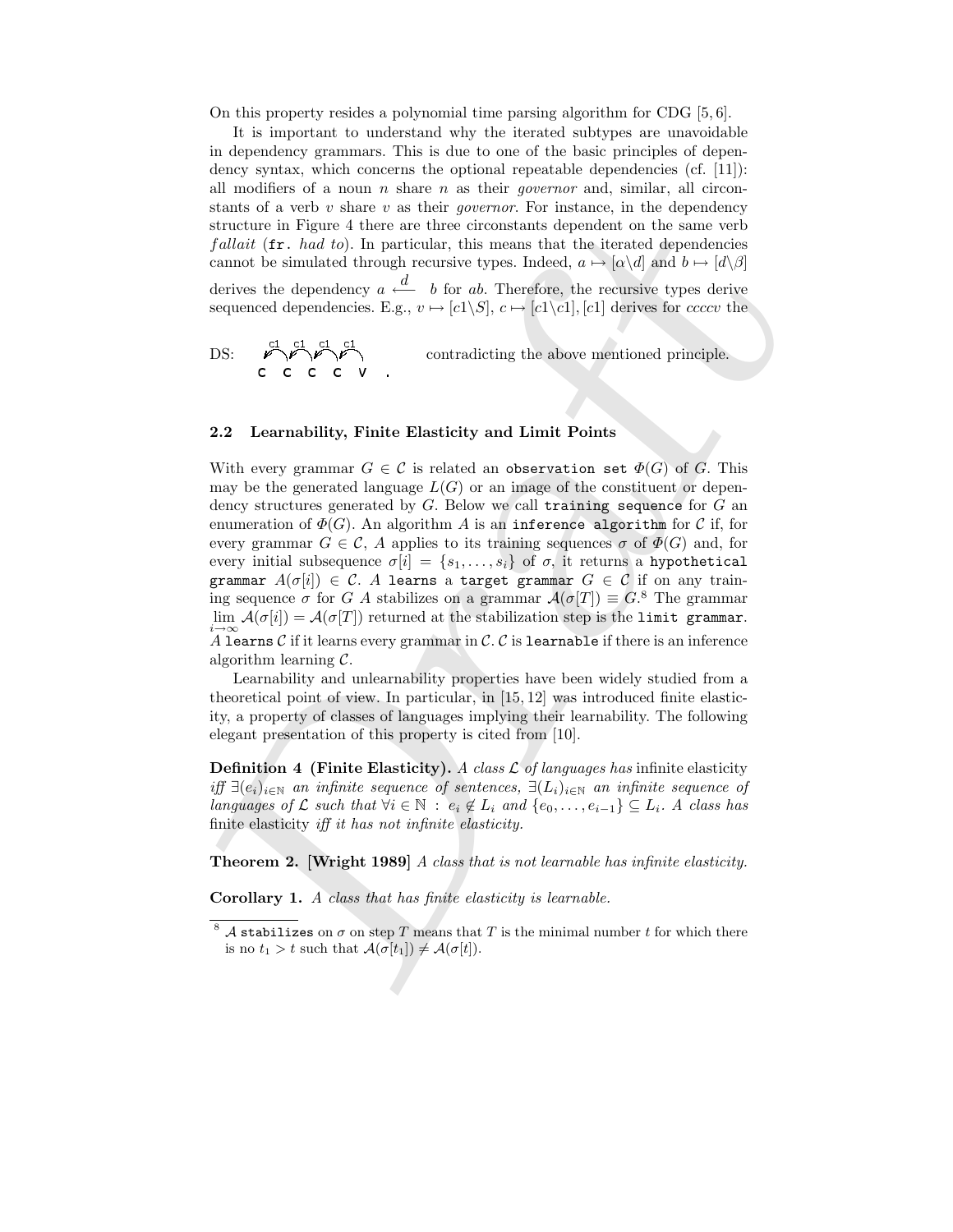On this property resides a polynomial time parsing algorithm for CDG [5, 6].

It is important to understand why the iterated subtypes are unavoidable in dependency grammars. This is due to one of the basic principles of dependency syntax, which concerns the optional repeatable dependencies (cf. [11]): all modifiers of a noun n share n as their *governor* and, similar, all circonstants of a verb v share v as their *governor*. For instance, in the dependency structure in Figure 4 there are three circonstants dependent on the same verb  $fallait$  (fr. had to). In particular, this means that the iterated dependencies cannot be simulated through recursive types. Indeed,  $a \mapsto [\alpha \backslash d]$  and  $b \mapsto [d \backslash \beta]$ derives the dependency  $a \stackrel{d}{\longleftarrow} b$  for ab. Therefore, the recursive types derive sequenced dependencies. E.g.,  $v \mapsto [c_1\backslash S], c \mapsto [c_1\backslash c_1], [c_1]$  derives for *ccccv* the

DS:  $\overrightarrow{P}$   $\overrightarrow{P}$  contradicting the above mentioned principle.

#### 2.2 Learnability, Finite Elasticity and Limit Points

states on a contrained three has a contrained in the species of states of the state of the specifical of the hole of the same that the thermal dependent of the same vertice control failure in Figure 4 there are three dire With every grammar  $G \in \mathcal{C}$  is related an observation set  $\Phi(G)$  of G. This may be the generated language  $L(G)$  or an image of the constituent or dependency structures generated by  $G$ . Below we call training sequence for  $G$  an enumeration of  $\Phi(G)$ . An algorithm A is an inference algorithm for C if, for every grammar  $G \in \mathcal{C}$ , A applies to its training sequences  $\sigma$  of  $\Phi(G)$  and, for every initial subsequence  $\sigma[i] = \{s_1, \ldots, s_i\}$  of  $\sigma$ , it returns a hypothetical grammar  $A(\sigma[i]) \in \mathcal{C}$ . A learns a target grammar  $G \in \mathcal{C}$  if on any training sequence  $\sigma$  for G A stabilizes on a grammar  $\mathcal{A}(\sigma[T]) \equiv G$ .<sup>8</sup> The grammar  $\lim_{i\to\infty} \mathcal{A}(\sigma[i]) = \mathcal{A}(\sigma[T])$  returned at the stabilization step is the limit grammar. A learns  $C$  if it learns every grammar in  $C$ .  $C$  is learnable if there is an inference algorithm learning  $\mathcal{C}$ .

Learnability and unlearnability properties have been widely studied from a theoretical point of view. In particular, in [15, 12] was introduced finite elasticity, a property of classes of languages implying their learnability. The following elegant presentation of this property is cited from [10].

Definition 4 (Finite Elasticity). *A class* L *of languages has* infinite elasticity *iff*  $\exists (e_i)_{i \in \mathbb{N}}$  *an infinite sequence of sentences,*  $\exists (L_i)_{i \in \mathbb{N}}$  *an infinite sequence of languages of*  $\mathcal L$  *such that*  $\forall i \in \mathbb N : e_i \notin L_i$  *and*  $\{e_0, \ldots, e_{i-1}\} \subseteq L_i$ *. A class has* finite elasticity *iff it has not infinite elasticity.*

Theorem 2. [Wright 1989] *A class that is not learnable has infinite elasticity.*

Corollary 1. *A class that has finite elasticity is learnable.*

<sup>&</sup>lt;sup>8</sup> A stabilizes on  $\sigma$  on step T means that T is the minimal number t for which there is no  $t_1 > t$  such that  $\mathcal{A}(\sigma[t_1]) \neq \mathcal{A}(\sigma[t])$ .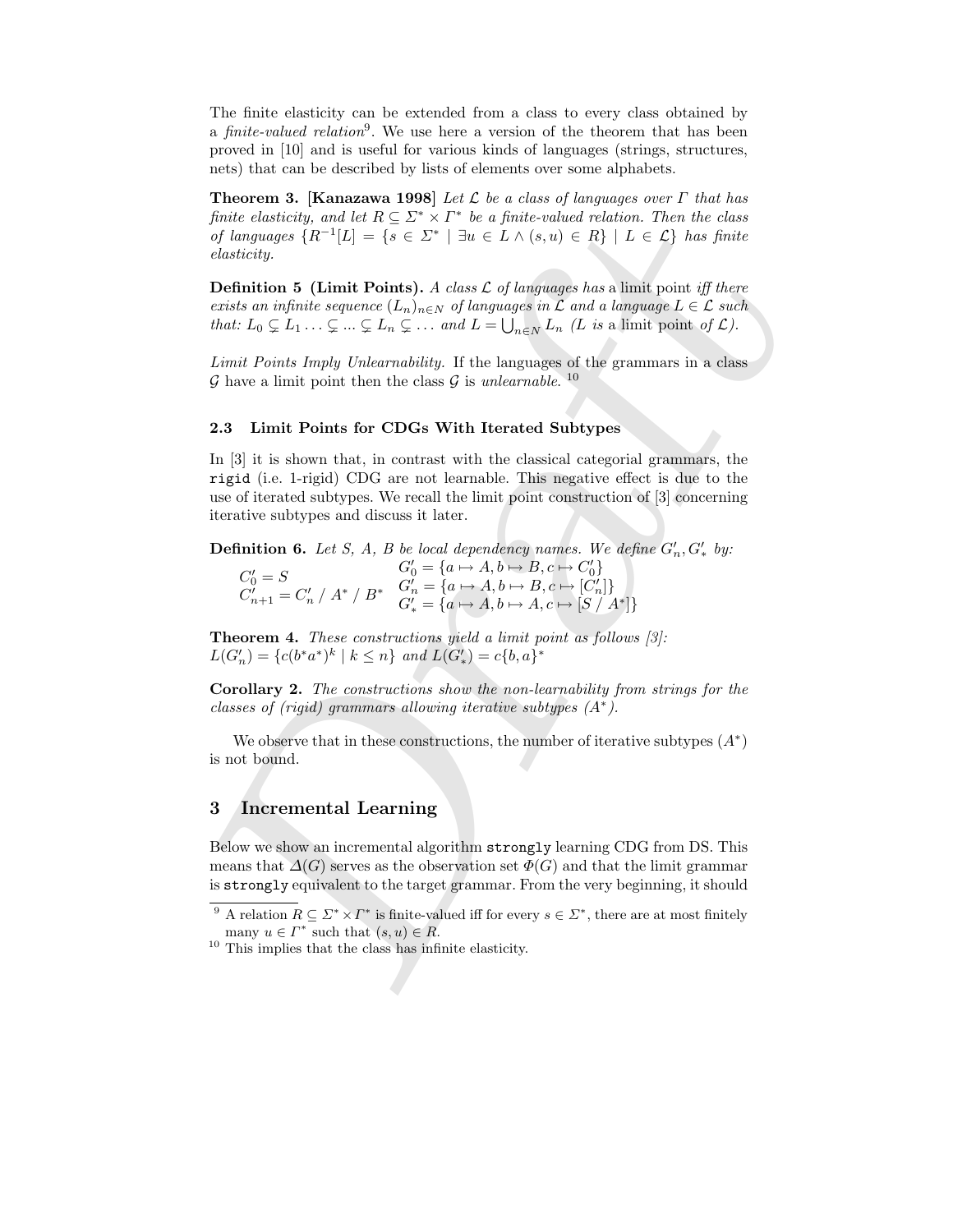The finite elasticity can be extended from a class to every class obtained by a *finite-valued relation*<sup>9</sup> . We use here a version of the theorem that has been proved in [10] and is useful for various kinds of languages (strings, structures, nets) that can be described by lists of elements over some alphabets.

Theorem 3. [Kanazawa 1998] *Let* L *be a class of languages over* Γ *that has finite elasticity, and let*  $R \subseteq \Sigma^* \times \Gamma^*$  *be a finite-valued relation. Then the class of languages*  $\{R^{-1}[L] = \{s \in \Sigma^* \mid \exists u \in L \land (s, u) \in R\} \mid L \in \mathcal{L}\}\$  *has finite elasticity.*

Definition 5 (Limit Points). *A class* L *of languages has* a limit point *iff there exists an infinite sequence*  $(L_n)_{n \in \mathbb{N}}$  *of languages in*  $\mathcal{L}$  *and a language*  $L \in \mathcal{L}$  *such that:*  $L_0 \subsetneq L_1 \ldots \subsetneq \ldots \subsetneq L_n \subsetneq \ldots$  *and*  $L = \bigcup_{n \in N} L_n$  *(L is* a limit point *of*  $\mathcal{L}$ *).* 

*Limit Points Imply Unlearnability.* If the languages of the grammars in a class G have a limit point then the class  $\mathcal G$  is *unlearnable*.<sup>10</sup>

### 2.3 Limit Points for CDGs With Iterated Subtypes

finite dentities), and let  $R \subseteq \Sigma \times I^n$  be a finite-rabid<br>densities, and be  $R \subseteq \Sigma \times I^n$  be a finite-rabid relation. Then the class<br>formula of lampages  $\{R^{-1}[V] = \{s \in \Sigma^*\}^n\}$  be  $E [K, \{s, u\} \in R\}$  [ $E \in \mathcal{E}$ ) has finit In [3] it is shown that, in contrast with the classical categorial grammars, the rigid (i.e. 1-rigid) CDG are not learnable. This negative effect is due to the use of iterated subtypes. We recall the limit point construction of [3] concerning iterative subtypes and discuss it later.

**Definition 6.** Let S, A, B be local dependency names. We define  $G'_n$ ,  $G'_*$  by:  $C'_0 = S$  $C'_{n+1} = C'_{n} / A^{*} / B^{*}$  $G'_0 = \{a \mapsto A, b \mapsto B, c \mapsto C'_0\}$  $G'_n = \{a \mapsto A, b \mapsto B, c \mapsto [C'_n]\}$  $G'_* = \{a \mapsto A, b \mapsto A, c \mapsto [S \, / \, A^*]\}$ 

Theorem 4. *These constructions yield a limit point as follows [3]:*  $L(G'_n) = \{c(b^*a^*)^k \mid k \leq n\}$  and  $L(G'_*) = c\{b, a\}^*$ 

Corollary 2. *The constructions show the non-learnability from strings for the classes of (rigid) grammars allowing iterative subtypes (*A<sup>∗</sup> *).*

We observe that in these constructions, the number of iterative subtypes  $(A^*)$ is not bound.

## 3 Incremental Learning

Below we show an incremental algorithm strongly learning CDG from DS. This means that  $\Delta(G)$  serves as the observation set  $\Phi(G)$  and that the limit grammar is strongly equivalent to the target grammar. From the very beginning, it should

<sup>&</sup>lt;sup>9</sup> A relation  $R \subseteq \Sigma^* \times \Gamma^*$  is finite-valued iff for every  $s \in \Sigma^*$ , there are at most finitely many  $u \in \Gamma^*$  such that  $(s, u) \in R$ .

 $^{10}$  This implies that the class has infinite elasticity.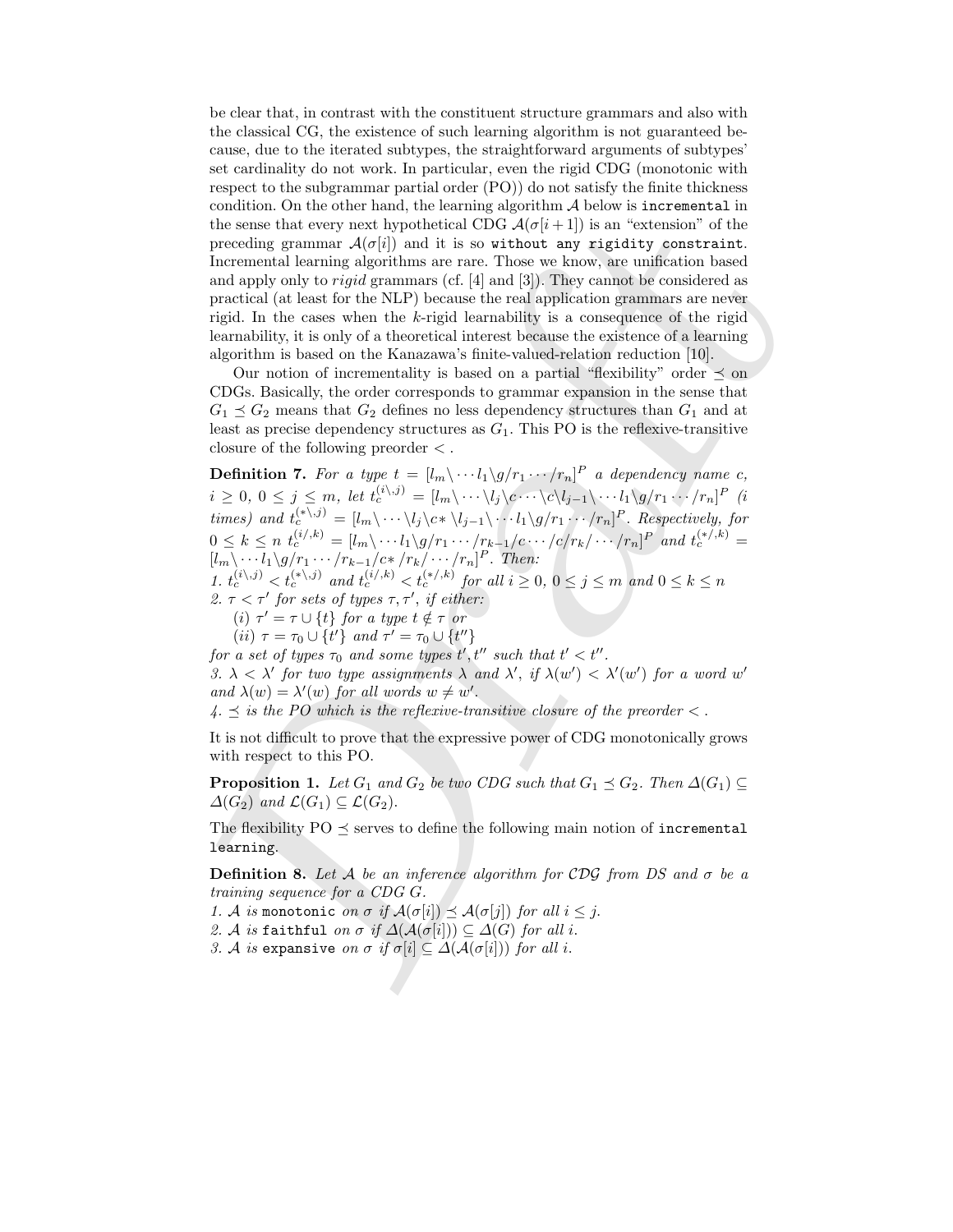the sease that every next happen<br>linked GDG  $A(G|t+1)$  is an "extension" of the preceding grammar<br> $A(G|t))$  and it is so of the<br>out any rigidaly generating the momental depth only to rigid gramma as rate. These we have a sim be clear that, in contrast with the constituent structure grammars and also with the classical CG, the existence of such learning algorithm is not guaranteed because, due to the iterated subtypes, the straightforward arguments of subtypes' set cardinality do not work. In particular, even the rigid CDG (monotonic with respect to the subgrammar partial order (PO)) do not satisfy the finite thickness condition. On the other hand, the learning algorithm  $A$  below is incremental in the sense that every next hypothetical CDG  $\mathcal{A}(\sigma[i+1])$  is an "extension" of the preceding grammar  $\mathcal{A}(\sigma[i])$  and it is so without any rigidity constraint. Incremental learning algorithms are rare. Those we know, are unification based and apply only to rigid grammars (cf. [4] and [3]). They cannot be considered as practical (at least for the NLP) because the real application grammars are never rigid. In the cases when the k-rigid learnability is a consequence of the rigid learnability, it is only of a theoretical interest because the existence of a learning algorithm is based on the Kanazawa's finite-valued-relation reduction [10].

Our notion of incrementality is based on a partial "flexibility" order  $\preceq$  on CDGs. Basically, the order corresponds to grammar expansion in the sense that  $G_1 \preceq G_2$  means that  $G_2$  defines no less dependency structures than  $G_1$  and at least as precise dependency structures as  $G_1$ . This PO is the reflexive-transitive closure of the following preorder < .

**Definition 7.** For a type  $t = [l_m \backslash \cdots l_1 \backslash g / r_1 \cdots / r_n]^P$  a dependency name c,  $i \geq 0, 0 \leq j \leq m$ , let  $t_c^{(i\backslash, j)} = [l_m \backslash \cdots \backslash l_j \backslash c \cdots \backslash c \backslash l_{j-1} \backslash \cdots l_1 \backslash g/r_1 \cdots/r_n]^P$  *(i*  $time$ ) and  $t_c^{(*\backslash j)} = [l_m \backslash \cdots \backslash l_j \backslash c * \backslash l_{j-1} \backslash \cdots l_1 \backslash g/r_1 \cdots/r_n]^P$ . *Respectively, for*  $0 \leq k \leq n \ t_c^{(i),k)} = [l_m \backslash \cdots l_1 \backslash g/r_1 \cdots /r_{k-1}/c \cdots /c/r_k / \cdots /r_n]^P$  and  $t_c^{(*),k)} =$  $[l_m\backslash \cdots l_1\backslash g/r_1\cdots/r_{k-1}/c*/r_k/\cdots/r_n]^P$ . Then:

1.  $t_c^{(i\setminus j)} < t_c^{(*\setminus j)}$  and  $t_c^{(i\setminus k)} < t_c^{(*\setminus k)}$  for all  $i \geq 0, 0 \leq j \leq m$  and  $0 \leq k \leq n$ 2.  $\tau < \tau'$  for sets of types  $\tau, \tau'$ , *if either:* 

(*i*)  $\tau' = \tau \cup \{t\}$  for a type  $t \notin \tau$  or

 $(ii) \tau = \tau_0 \cup \{t'\} \text{ and } \tau' = \tau_0 \cup \{t''\}$ 

*for a set of types*  $\tau_0$  *and some types*  $t', t''$  *such that*  $t' < t''$ *.* 3.  $\lambda < \lambda'$  for two type assignments  $\lambda$  and  $\lambda'$ , if  $\lambda(w') < \lambda'(w')$  for a word w' and  $\lambda(w) = \lambda'(w)$  for all words  $w \neq w'$ .

 $4. \preceq$  *is the PO which is the reflexive-transitive closure of the preorder*  $\lt$ .

It is not difficult to prove that the expressive power of CDG monotonically grows with respect to this PO.

**Proposition 1.** *Let*  $G_1$  *and*  $G_2$  *be two CDG such that*  $G_1 \preceq G_2$ *. Then*  $\Delta(G_1) \subseteq$  $\Delta(G_2)$  *and*  $\mathcal{L}(G_1) \subseteq \mathcal{L}(G_2)$ .

The flexibility  $PO \le$  serves to define the following main notion of incremental learning.

Definition 8. *Let* A *be an inference algorithm for* CDG *from DS and* σ *be a training sequence for a CDG* G*.*

*1.* A *is* monotonic *on*  $\sigma$  *if*  $\mathcal{A}(\sigma[i]) \preceq \mathcal{A}(\sigma[j])$  *for all*  $i \leq j$ .

- 2. A *is* faithful *on*  $\sigma$  *if*  $\Delta(\mathcal{A}(\sigma[i])) \subseteq \Delta(G)$  *for all i.*
- *3. A is* expansive *on*  $\sigma$  *if*  $\sigma[i] \subseteq \Delta(\mathcal{A}(\sigma[i]))$  *for all i.*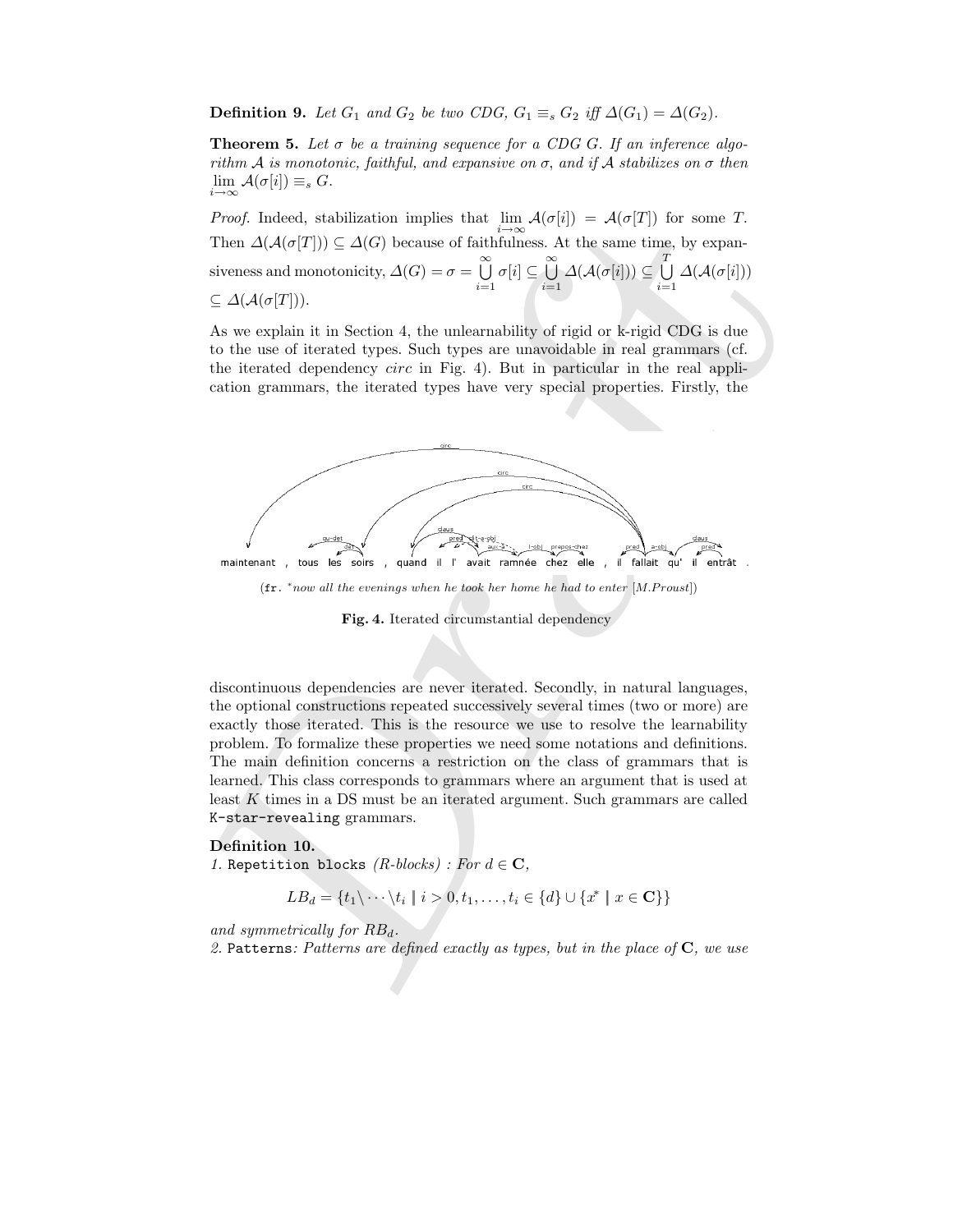**Definition 9.** Let  $G_1$  and  $G_2$  be two CDG,  $G_1 \equiv_s G_2$  iff  $\Delta(G_1) = \Delta(G_2)$ .

Theorem 5. *Let* σ *be a training sequence for a CDG* G. *If an inference algorithm* A *is monotonic, faithful, and expansive on* σ, *and if* A *stabilizes on* σ *then*  $\lim_{i\to\infty} \mathcal{A}(\sigma[i]) \equiv_s G.$ 

*Proof.* Indeed, stabilization implies that  $\lim_{n \to \infty} \mathcal{A}(\sigma[i]) = \mathcal{A}(\sigma[T])$  for some T. Then  $\Delta(\mathcal{A}(\sigma[T])) \subseteq \Delta(G)$  because of faithfulness. At the same time, by expansiveness and monotonicity,  $\Delta(G) = \sigma = \bigcup_{n=0}^{\infty}$  $i=1$  $\sigma[i] \subseteq \overset{\infty}{\bigcup}$  $i=1$  $\varDelta(\mathcal{A}(\sigma[i]))\subseteq\bigcup^{T}% \varphi_{\sigma}(\sigma[i])\bigcap\varphi_{\sigma}(\sigma[i])$  $i=1$  $\varDelta(\mathcal{A}(\sigma[i]))$  $\subseteq$   $\Delta(\mathcal{A}(\sigma[T]))$ .

As we explain it in Section 4, the unlearnability of rigid or k-rigid CDG is due to the use of iterated types. Such types are unavoidable in real grammars (cf. the iterated dependency circ in Fig. 4). But in particular in the real application grammars, the iterated types have very special properties. Firstly, the



 $(f_r \cdot *now \text{ all the evenings when he took her home he had to enter } [M. Proust])$ 

Fig. 4. Iterated circumstantial dependency

discontinuous dependencies are never iterated. Secondly, in natural languages, the optional constructions repeated successively several times (two or more) are exactly those iterated. This is the resource we use to resolve the learnability problem. To formalize these properties we need some notations and definitions. The main definition concerns a restriction on the class of grammars that is learned. This class corresponds to grammars where an argument that is used at least K times in a DS must be an iterated argument. Such grammars are called K-star-revealing grammars.

#### Definition 10.

*1.* Repetition blocks  $(R\text{-}blocks)$ : For  $d \in \mathbb{C}$ ,

$$
LB_d = \{t_1 \backslash \cdots \backslash t_i \mid i > 0, t_1, \ldots, t_i \in \{d\} \cup \{x^* \mid x \in \mathbf{C}\}\}\
$$

and symmetrically for  $RB_d$ .

*2.* Patterns*: Patterns are defined exactly as types, but in the place of* C*, we use*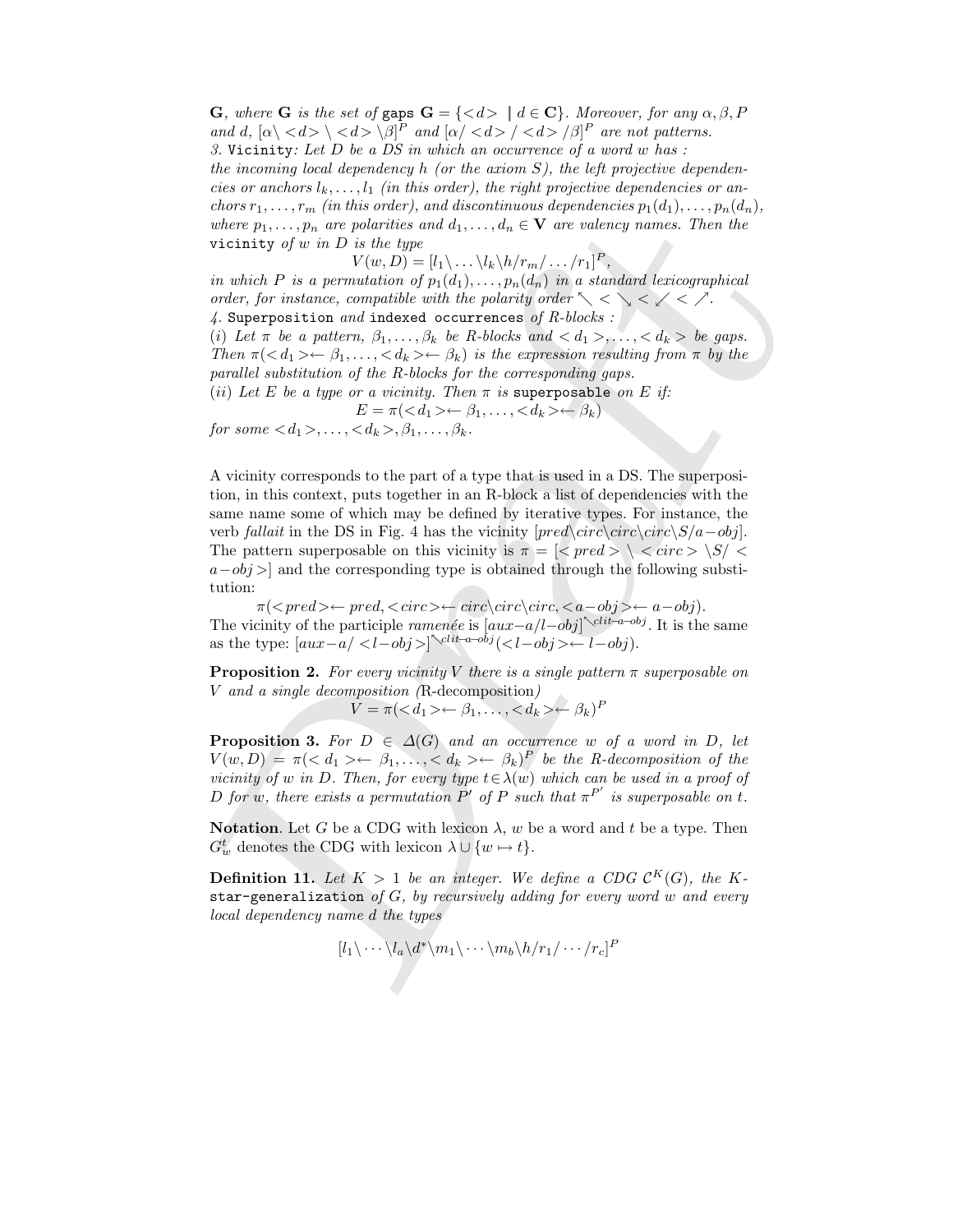**G**, where **G** is the set of gaps  $G = \{ \langle d \rangle | d \in C \}$ . Moreover, for any  $\alpha, \beta, P$ *and*  $d$ ,  $[\alpha \setminus \langle d \rangle \setminus \langle d \rangle \setminus [\beta]^P$  *and*  $[\alpha \setminus \langle d \rangle \setminus \langle d \rangle]^P$  *are not patterns. 3.* Vicinity*: Let* D *be a DS in which an occurrence of a word* w *has : the incoming local dependency* h *(or the axiom* S*), the left projective dependencies or anchors*  $l_k, \ldots, l_1$  *(in this order), the right projective dependencies or anchors*  $r_1, \ldots, r_m$  *(in this order), and discontinuous dependencies*  $p_1(d_1), \ldots, p_n(d_n)$ , *where*  $p_1, \ldots, p_n$  *are polarities and*  $d_1, \ldots, d_n \in \mathbf{V}$  *are valency names. Then the* vicinity *of* w *in* D *is the type*

 $V(w, D) = [l_1 \backslash ... \backslash l_k \backslash h / r_m / ... / r_1]^P$ 

using the in D is the planetic and  $d_1, ..., d_n \in V$  are valency neuron. Then the<br>
valency  $p_i$  is the legacy and  $d_1, ..., d_n \in V$  are valency neuros. Then the<br>
valency of the D interface of  $p_i(d_1), ..., p_i(d_n)$  in a standard lexicosymp *in which* P *is a permutation of*  $p_1(d_1), \ldots, p_n(d_n)$  *in a standard lexicographical order, for instance, compatible with the polarity order*  $\langle \langle \rangle \langle \rangle \langle \rangle$ *4.* Superposition *and* indexed occurrences *of R-blocks :* (i) Let  $\pi$  be a pattern,  $\beta_1, \ldots, \beta_k$  be R-blocks and  $\langle d_1 \rangle, \ldots, \langle d_k \rangle$  be gaps. *Then*  $\pi \langle \langle d_1 \rangle \leftarrow \beta_1, \ldots, \langle d_k \rangle \leftarrow \beta_k$  *is the expression resulting from*  $\pi$  *by the parallel substitution of the R-blocks for the corresponding gaps.* (*ii*) Let E be a type or a vicinity. Then  $\pi$  is superposable on E if:  $E = \pi \left( \langle d_1 \rangle \leftarrow \beta_1, \ldots, \langle d_k \rangle \leftarrow \beta_k \right)$ 

*for some*  $\langle d_1 \rangle, \ldots, \langle d_k \rangle, \beta_1, \ldots, \beta_k$ .

A vicinity corresponds to the part of a type that is used in a DS. The superposition, in this context, puts together in an R-block a list of dependencies with the same name some of which may be defined by iterative types. For instance, the verb *fallait* in the DS in Fig. 4 has the vicinity  $[pred\circ\circ\circ\csc\S/a-obj]$ . The pattern superposable on this vicinity is  $\pi = \{ \langle pred \rangle \setminus \langle circ \rangle \setminus \langle S \rangle \}$  $a - obj$  and the corresponding type is obtained through the following substitution:

 $\pi$ (<pred>  $\leftarrow$ pred, <circ>  $\leftarrow$ circ $\leftarrow$ circ $\leftarrow$ circ, <a-obj >  $\leftarrow$ a-obj). The vicinity of the participle  $\textit{ramen\'ee}$  is  $\left[ \textit{aux}-\textit{a}/\textit{l}-\textit{obj} \right] \sim \textit{clit-}\textit{a}-\textit{obj}$ . It is the same as the type:  $|aux-a| < l-obj > |\n\sqrt{clit-a-obj}(< l-obj > \n- l-obj).$ 

Proposition 2. *For every vicinity* V *there is a single pattern* π *superposable on* V *and a single decomposition (*R-decomposition*)*

 $V = \pi \left( \langle d_1 \rangle \leftarrow \beta_1, \ldots, \langle d_k \rangle \leftarrow \beta_k \right)^p$ 

**Proposition 3.** For  $D \in \Delta(G)$  and an occurrence w of a word in D, let  $V(w, D) = \pi \left( \langle d_1 \rangle \leftarrow \beta_1, \ldots, \langle d_k \rangle \leftarrow \beta_k \right)^P$  be the R-decomposition of the *vicinity of* w *in* D. Then, for every type  $t \in \lambda(w)$  which can be used in a proof of D for w, there exists a permutation  $P'$  of P such that  $\pi^{P'}$  is superposable on t.

**Notation.** Let G be a CDG with lexicon  $\lambda$ , w be a word and t be a type. Then  $G_w^t$  denotes the CDG with lexicon  $\lambda \cup \{w \mapsto t\}.$ 

**Definition 11.** Let  $K > 1$  be an integer. We define a CDG  $\mathcal{C}^K(G)$ , the Kstar-generalization *of* G*, by recursively adding for every word* w *and every local dependency name* d *the types*

$$
[l_1\backslash \cdots \backslash l_a\backslash d^*\backslash m_1\backslash \cdots \backslash m_b\backslash h/r_1/\cdots/r_c]^P
$$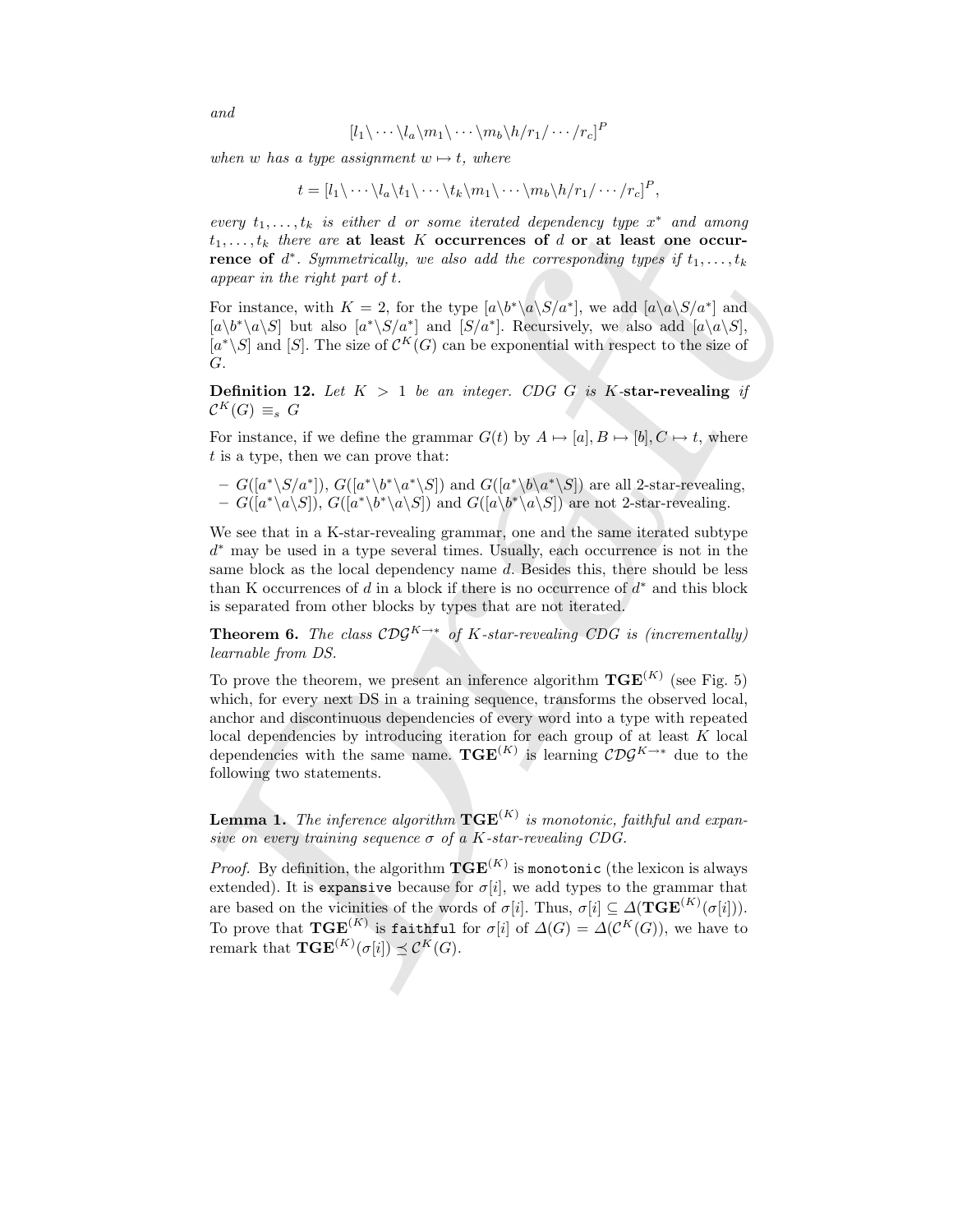$$
[l_1\backslash \cdots \backslash l_a\backslash m_1\backslash \cdots \backslash m_b\backslash h/r_1/\cdots/r_c]^P
$$

*when* w has a type assignment  $w \mapsto t$ , where

$$
t=[l_1\backslash \cdots \backslash l_a\backslash t_1\backslash \cdots \backslash t_k\backslash m_1\backslash \cdots \backslash m_b\backslash h/r_1/\cdots/r_c]^P,
$$

 $every$   $t_1, \ldots, t_k$  *is either d or some iterated dependency type*  $x^*$  *and among*  $t_1, \ldots, t_k$  there are at least K occurrences of d or at least one occur**rence of**  $d^*$ . Symmetrically, we also add the corresponding types if  $t_1, \ldots, t_k$ *appear in the right part of* t*.*

For instance, with  $K = 2$ , for the type  $[a\backslash b^*\backslash a\backslash S/a^*]$ , we add  $[a\backslash a\backslash S/a^*]$  and  $[a\backslash b^*\backslash a\backslash S]$  but also  $[a^*\backslash S/a^*]$  and  $[S/a^*]$ . Recursively, we also add  $[a\backslash a\backslash S]$ ,  $[a^*\S]$  and [S]. The size of  $\mathcal{C}^K(G)$  can be exponential with respect to the size of G.

**Definition 12.** Let  $K > 1$  be an integer. CDG G is K-star-revealing if  $\mathcal{C}^K(G) \,\equiv_s\, G$ 

For instance, if we define the grammar  $G(t)$  by  $A \mapsto [a], B \mapsto [b], C \mapsto t$ , where  $t$  is a type, then we can prove that:

 $-G([a^*\&S/a^*]), G([a^*\&b^*\&S])$  and  $G([a^*\&b\&A^*\&S])$  are all 2-star-revealing,  $-G([a^*\setminus a\setminus S]), G([a^*\setminus b^*\setminus a\setminus S])$  and  $G([a\setminus b^*\setminus a\setminus S])$  are not 2-star-revealing.

We see that in a K-star-revealing grammar, one and the same iterated subtype d <sup>∗</sup> may be used in a type several times. Usually, each occurrence is not in the same block as the local dependency name d. Besides this, there should be less than K occurrences of  $d$  in a block if there is no occurrence of  $d^*$  and this block is separated from other blocks by types that are not iterated.

**Theorem 6.** *The class*  $\mathcal{C}D\mathcal{G}^{K\to\ast}$  *of K*-star-revealing CDG is (incrementally) *learnable from DS.*

every  $t_1, \ldots, t_k$  is collect d or some identical dependency type  $x^*$  and among type  $t_1, \ldots, t_k$  is entropy that the real matrix one corresponding types if  $t_1, \ldots, t_k$  operation of d'. Symmetrically, we also add the c To prove the theorem, we present an inference algorithm  $TGE^{(K)}$  (see Fig. 5) which, for every next DS in a training sequence, transforms the observed local, anchor and discontinuous dependencies of every word into a type with repeated local dependencies by introducing iteration for each group of at least K local dependencies with the same name.  $TGE^{(K)}$  is learning  $\mathcal{C}D\mathcal{G}^{K\to*}$  due to the following two statements.

**Lemma 1.** The inference algorithm  $TGE^{(K)}$  is monotonic, faithful and expan*sive on every training sequence* σ *of a* K*-star-revealing CDG.*

*Proof.* By definition, the algorithm  $TGE^{(K)}$  is monotonic (the lexicon is always extended). It is expansive because for  $\sigma[i]$ , we add types to the grammar that are based on the vicinities of the words of  $\sigma[i]$ . Thus,  $\sigma[i] \subseteq \Delta(\mathbf{TGE}^{(K)}(\sigma[i])$ . To prove that  $\mathbf{TGE}^{(K)}$  is faithful for  $\sigma[i]$  of  $\Delta(G) = \Delta(\mathcal{C}^K(G))$ , we have to remark that  $\mathbf{TGE}^{(K)}(\sigma[i]) \preceq C^K(G)$ .

*and*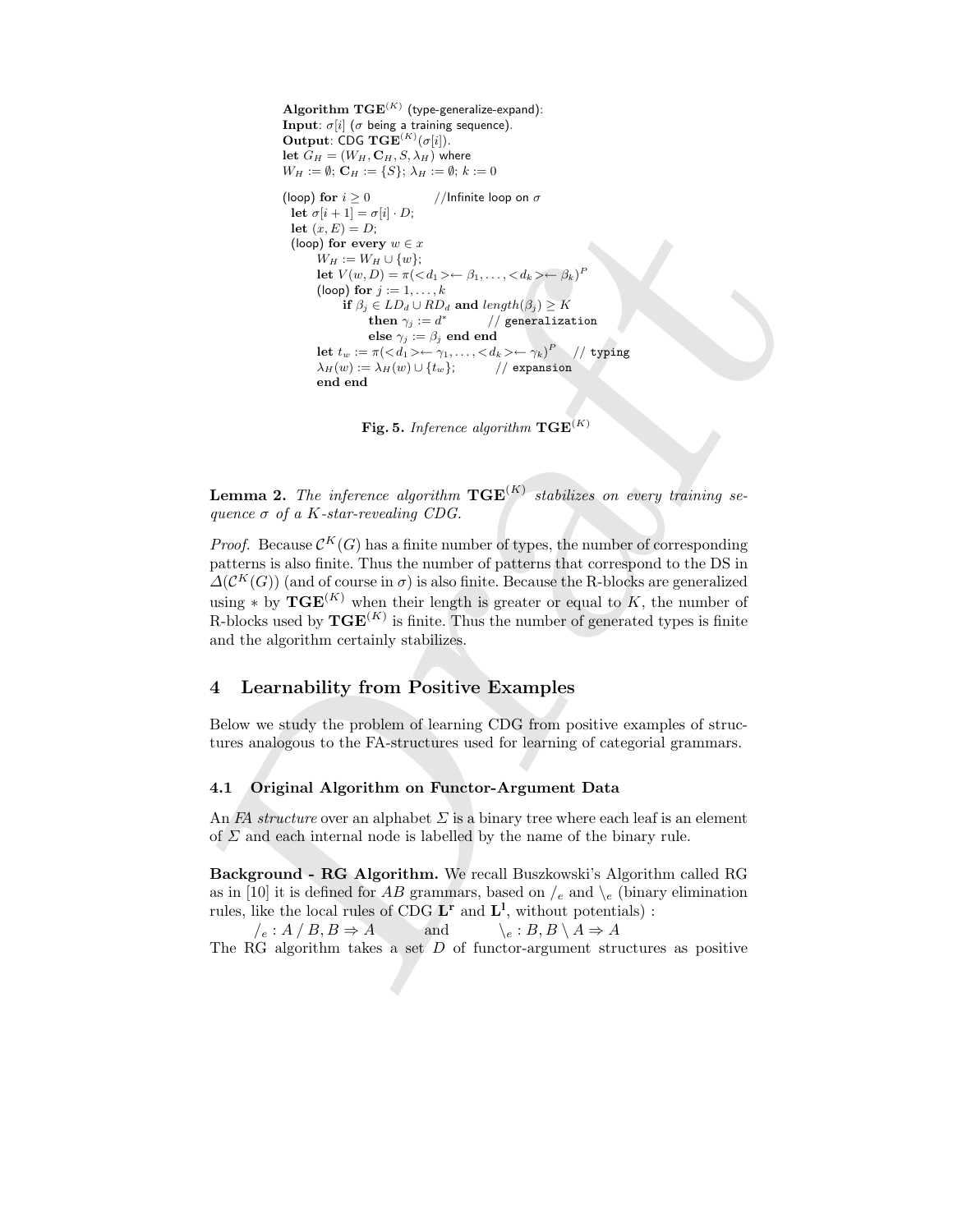```
Let \rho(t) = |x| \ge 0.<br>
Let V(t) = \rho(t)<br>
(too) for W_0 \in \mathcal{C}<br>
(too) for W_0 \in \mathcal{C}<br>
Let V(w, D) = x(x d_0) \sim -\beta_0,..., \angle d_0 \gg -\beta_0,<br>
Let V(w, D) = x(x d_0) \sim -\beta_0,..., \angle d_0 \gg 0<br>
Let \beta_0 = L \mathcal{D}_0 \cup R \mathcal{D}_0 and k \cos \beta_0\mathbf{Algorithm~TGE}^{(K)} (type-generalize-expand):
                         \textbf{Input:} \; \sigma[i] \; (\sigma \; \texttt{being a training sequence}).Output: CDG TGE<sup>(K)</sup>(\sigma[i]).
                         let G_H = (W_H, \mathbf{C}_H, S, \lambda_H) where
                         W_H := \emptyset; \mathbf{C}_H := \{S\}; \, \lambda_H := \emptyset; \, k := 0(loop) for i \geq 0 //Infinite loop on \sigmalet \sigma[i+1] = \sigma[i] \cdot D;let (x, E) = D;
                            (loop) for every w \in xW_H := W_H \cup \{w\};let V(w, D) = \pi(\langle d_1 \rangle \leftarrow \beta_1, \ldots, \langle d_k \rangle \leftarrow \beta_k)P
                                   (loop) for j := 1, \ldots, kif \beta_j \in LD_d \cup RD_d and length(\beta_j) \geq Kthen \gamma_j := d^*// generalization
                                                   else \gamma_j := \beta_j end end
                                    \mathbf{let}\,\, t_w := \pi(<\!d_1\!>\leftarrow\gamma_1,\ldots,<\!d_k\!>\leftarrow\gamma_k)^F// typing
                                   \lambda_H(w) := \lambda_H(w) \cup \{t_w\}; // expansion
                                   end end
```
Fig. 5. Inference algorithm  $\mathbf{TGE}^{(K)}$ 

**Lemma 2.** The inference algorithm  $TGE^{(K)}$  stabilizes on every training se*quence* σ *of a* K*-star-revealing CDG.*

*Proof.* Because  $\mathcal{C}^K(G)$  has a finite number of types, the number of corresponding patterns is also finite. Thus the number of patterns that correspond to the DS in  $\Delta(\mathcal{C}^K(G))$  (and of course in  $\sigma$ ) is also finite. Because the R-blocks are generalized using \* by  $TGE^{(K)}$  when their length is greater or equal to K, the number of R-blocks used by  $\mathbf{TGE}^{(K)}$  is finite. Thus the number of generated types is finite and the algorithm certainly stabilizes.

### 4 Learnability from Positive Examples

Below we study the problem of learning CDG from positive examples of structures analogous to the FA-structures used for learning of categorial grammars.

#### 4.1 Original Algorithm on Functor-Argument Data

An FA *structure* over an alphabet  $\Sigma$  is a binary tree where each leaf is an element of  $\Sigma$  and each internal node is labelled by the name of the binary rule.

Background - RG Algorithm. We recall Buszkowski's Algorithm called RG as in [10] it is defined for AB grammars, based on  $\ell_e$  and  $\ell_e$  (binary elimination rules, like the local rules of CDG  $L^r$  and  $L^l$ , without potentials) :

 $\big|_e : A \mid B, B \Rightarrow A$  and  $\big|_e : B, B \setminus A \Rightarrow A$ The RG algorithm takes a set  $D$  of functor-argument structures as positive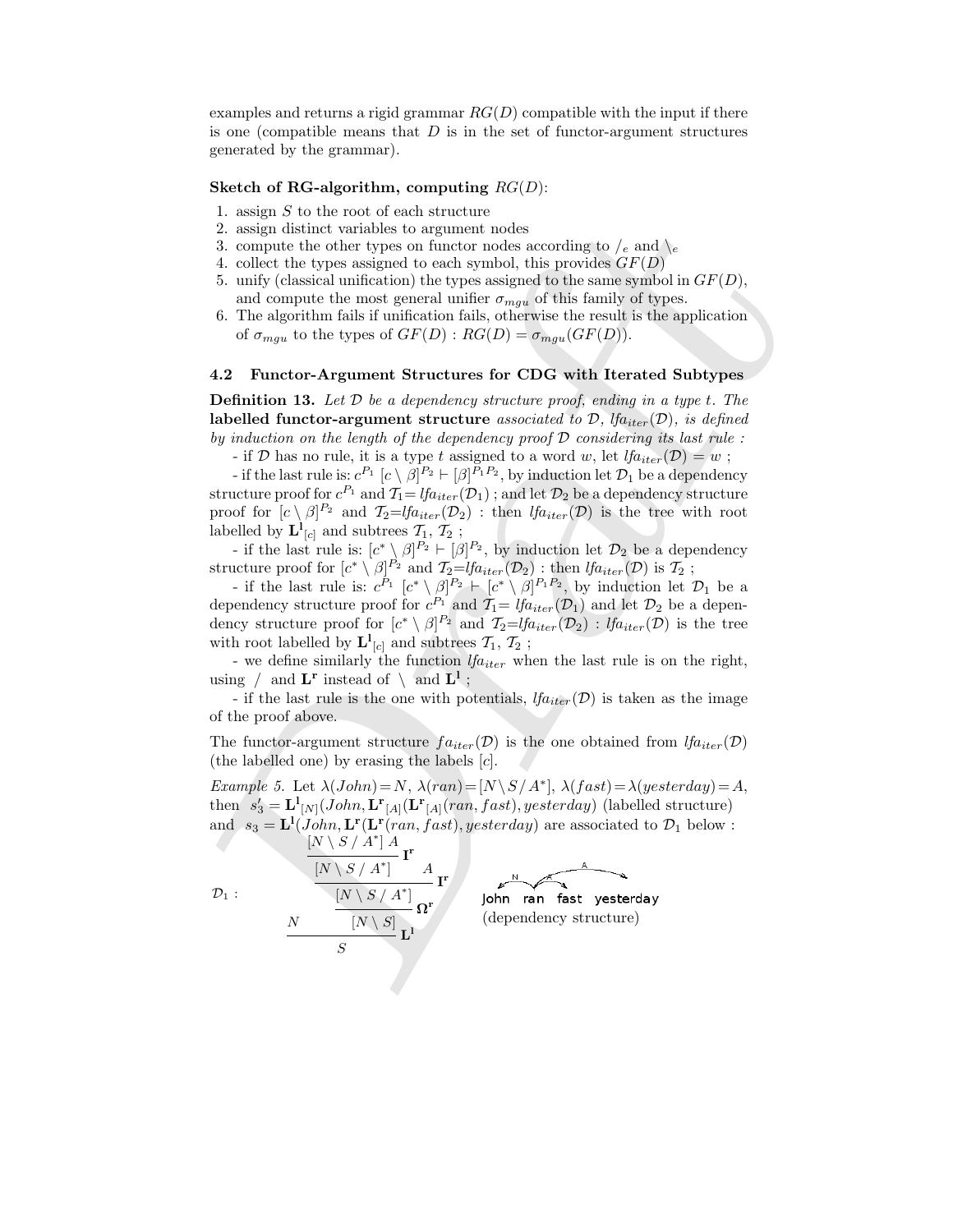examples and returns a rigid grammar  $RG(D)$  compatible with the input if there is one (compatible means that  $D$  is in the set of functor-argument structures generated by the grammar).

#### Sketch of RG-algorithm, computing  $RG(D)$ :

- 1. assign S to the root of each structure
- 2. assign distinct variables to argument nodes
- 3. compute the other types on functor nodes according to  $\ell_e$  and  $\ell_e$
- 4. collect the types assigned to each symbol, this provides  $GF(D)$
- 5. unify (classical unification) the types assigned to the same symbol in  $GF(D)$ , and compute the most general unifier  $\sigma_{mqu}$  of this family of types.
- 6. The algorithm fails if unification fails, otherwise the result is the application of  $\sigma_{mau}$  to the types of  $GF(D)$ :  $RG(D) = \sigma_{mau}(GF(D)).$

#### 4.2 Functor-Argument Structures for CDG with Iterated Subtypes

Definition 13. *Let* D *be a dependency structure proof, ending in a type* t*. The* labelled functor-argument structure *associated to*  $D$ *, lfa<sub>iter</sub>*( $D$ *), is defined by induction on the length of the dependency proof* D *considering its last rule :*

- if D has no rule, it is a type t assigned to a word w, let  $lfa_{iter}(\mathcal{D}) = w$ ;

- if the last rule is:  $c^{P_1} [c \setminus \beta]^{P_2} \vdash [\beta]^{P_1 P_2}$ , by induction let  $\mathcal{D}_1$  be a dependency structure proof for  $c^{P_1}$  and  $\mathcal{T}_1=$   $lfa_{iter}(\mathcal{D}_1)$  ; and let  $\mathcal{D}_2$  be a dependency structure proof for  $[c \setminus \beta]^{P_2}$  and  $\mathcal{T}_2=lfa_{iter}(\mathcal{D}_2)$ : then  $lfa_{iter}(\mathcal{D})$  is the tree with root labelled by  $\mathbf{L}^1_{[c]}$  and subtrees  $\mathcal{T}_1, \mathcal{T}_2$ ;

- if the last rule is:  $[c^* \setminus \beta]^{P_2} \vdash [\beta]^{P_2}$ , by induction let  $\mathcal{D}_2$  be a dependency structure proof for  $[c^* \setminus \beta]^{P_2}$  and  $\mathcal{T}_2 = \text{If}_{a_{iter}}(\mathcal{D}_2)$ : then  $\text{If}_{a_{iter}}(\mathcal{D})$  is  $\mathcal{T}_2$ ;

- if the last rule is:  $c^{P_1}$   $[c^* \setminus \beta]^{P_2} \vdash [c^* \setminus \beta]^{P_1 P_2}$ , by induction let  $\mathcal{D}_1$  be a dependency structure proof for  $c^{P_1}$  and  $\mathcal{T}_1 = \text{If}_{a_{iter}}(\mathcal{D}_1)$  and let  $\mathcal{D}_2$  be a dependency structure proof for  $[c^* \setminus \beta]^{P_2}$  and  $\mathcal{T}_2=$   $lfa_{iter}(\mathcal{D}_2)$  :  $lfa_{iter}(\mathcal{D})$  is the tree with root labelled by  $\mathbf{L}^1_{[c]}$  and subtrees  $\mathcal{T}_1, \mathcal{T}_2$ ;

- we define similarly the function  $lfa_{iter}$  when the last rule is on the right, using  $\pi$  and  $\mathbf{L}^{\mathbf{r}}$  instead of  $\pi$  and  $\mathbf{L}^{\mathbf{l}}$ ;

- if the last rule is the one with potentials,  $lfa_{iter}(\mathcal{D})$  is taken as the image of the proof above.

The functor-argument structure  $fa_{iter}(\mathcal{D})$  is the one obtained from  $lfa_{iter}(\mathcal{D})$ (the labelled one) by erasing the labels [c].

*Example 5.* Let  $\lambda(John) = N$ ,  $\lambda(ran) = [N \setminus S / A^*]$ ,  $\lambda(fast) = \lambda(yesterday) = A$ , then  $s'_3 = \mathbf{L}^1_{[N]}(John, \mathbf{L}^r_{[A]}(\mathbf{L}^r_{[A]}(ran, fast), yesterday)$  (labelled structure) and  $s_3 = L^1(John, L^r(ran, fast), yesterday)$  are associated to  $\mathcal{D}_1$  below :  $[N\setminus S / A^*]$   $A$ 

\n- 1. assign of to the root of each structure
\n- 2. assign distinct variables to argument nodes
\n- 3. compute the other types on functor nodes according to 
$$
/e
$$
 and  $\lambda_e$  4. collect the types assigned to each symbol, this provides  $GF(D)$ , and compute the most general unifier  $\sigma_{mga}$  of this family of types.
\n- 6. The algorithm fails if unification fails, otherwise the result is the application of  $\sigma_{mga}$  to the types of  $GF(D)$ :  $RG(D) = \sigma_{mga}(GF(D))$ .
\n- 4.2 Function-Argument Structures for CDG with Iterated Subtypes Definition 13. Let  $D$  be a dependency structure proof, ending in a type t. The labelled function  $G$  is defined in the image,  $G$  is defined by induction on the length of the dependence proof  $D$ ,  $G$  is defined by induction on the length of the dependence proof  $D$ ,  $G$  is defined to a word  $w$ , let  $Id_{\text{iter}}(D) = w$ ; if  $D$  has no rule, it is a type t assigned to a word, we let  $Id_{\text{iter}}(D) = w$ ; if the last rule is  $c^P$   $[c \setminus \beta]^P$  is  $|\beta|^P$ , by induction let  $D_e$  be a dependency structure proof for  $c^P$ ,  $|c|^P$ ,  $|\beta|^P$ , by induction let  $D_2$  be a dependency structure proof for  $[c' \setminus \beta]^P$  and  $T_2 = |flat_{\text{iter}}(D_2)$ ; then  $Id_{\text{iter}}(D)$  is  $T_2$ ; if the last rule is:  $c^P$   $[c' \setminus \beta]^P$  is  $|\beta|^P$ . For example,  $|G|$  is the tree with root labelled by  $\mathbf{L}^T|_G$  and  $T_2 = |flat_{\text{iter}}(D_2)$ ; then  $Id_{\text{iter}}(D)$  is  $T$

 $\mathcal{D}_1$  :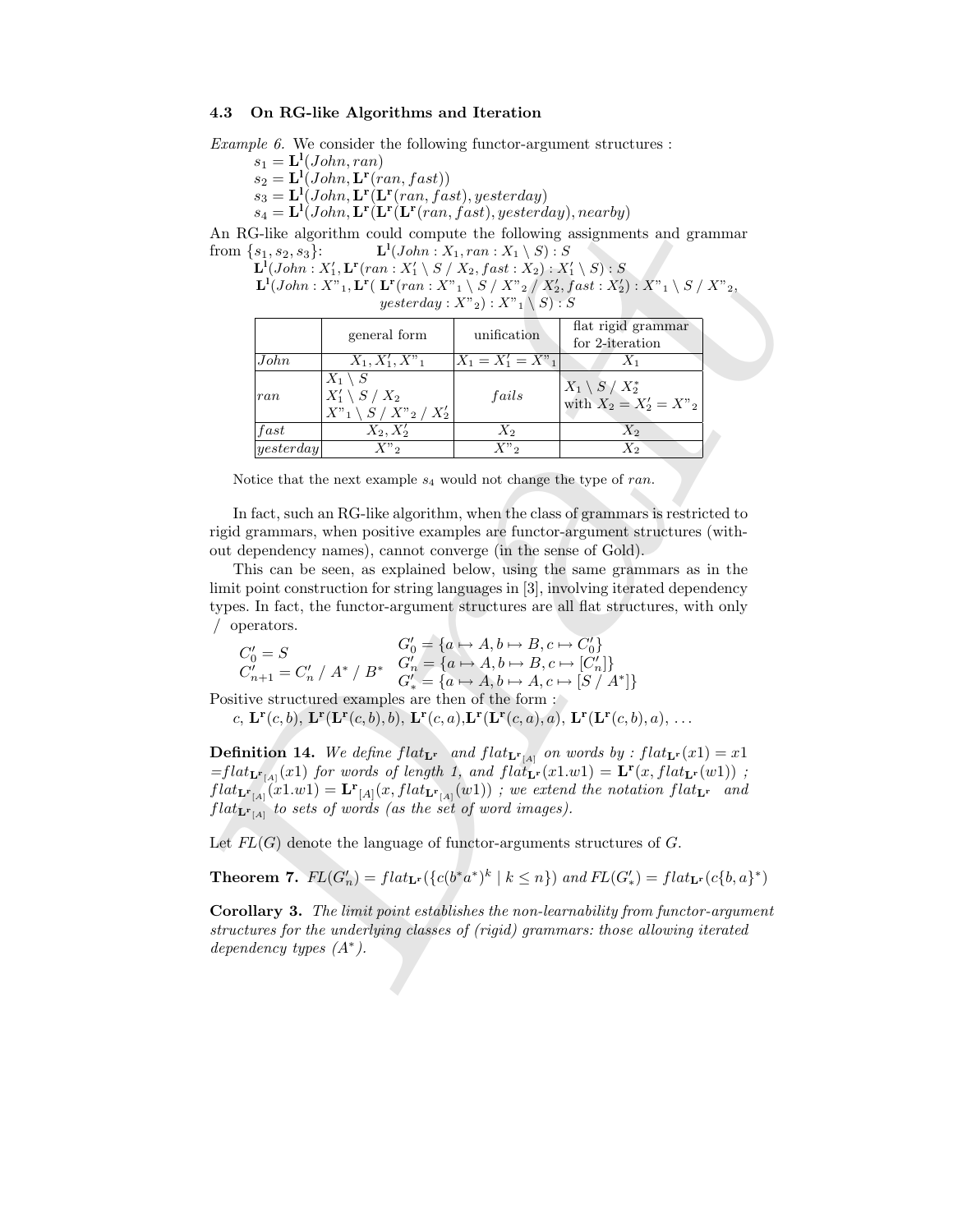#### 4.3 On RG-like Algorithms and Iteration

*Example 6.* We consider the following functor-argument structures :

 $s_1 = \mathbf{L}^{\mathbf{l}}(John, ran)$  $s_2 = \mathbf{L}^{\mathbf{l}}(John, \mathbf{L}^{\mathbf{r}}(ran, fast))$  $s_3 = \mathbf{L}^1(\textit{John}, \mathbf{L}^r(\mathbf{L}^r(\textit{ran}, \textit{fast}), \textit{yesterday}))$ 

 $s_4 = \mathbf{L}^1(John, \mathbf{L}^r(\mathbf{L}^r(ran, fast), yesterday), nearby)$ 

| $s_4 = L'(John, L'(L'(L'(ran, fast), yesterday), nearby))$                                                                                                                                                                                               |                                  |                         |                                   |
|----------------------------------------------------------------------------------------------------------------------------------------------------------------------------------------------------------------------------------------------------------|----------------------------------|-------------------------|-----------------------------------|
| An RG-like algorithm could compute the following assignments and grammar                                                                                                                                                                                 |                                  |                         |                                   |
| $\mathbf{L}^1(John : X_1, ran : X_1 \setminus S) : S$<br>from $\{s_1, s_2, s_3\}$ :                                                                                                                                                                      |                                  |                         |                                   |
| $\mathbf{L}^1(John : X_1', \mathbf{L}^r(ran : X_1' \setminus S \; / \; X_2, fast : X_2) : X_1' \setminus S) : S$                                                                                                                                         |                                  |                         |                                   |
| $\mathbf{L}^1(John : X_{1}, \mathbf{L}^r(\mathbf{L}^r(\text{ran} : X_{1} \setminus S / X_{2} \setminus X_{2}', \text{fast} : X_{2}'): X_{1} \setminus S / X_{2}';$                                                                                       |                                  |                         |                                   |
| $y \in \text{seterday} : X"_2) : X"_1 \setminus S) : S$                                                                                                                                                                                                  |                                  |                         |                                   |
|                                                                                                                                                                                                                                                          |                                  |                         | flat rigid grammar                |
|                                                                                                                                                                                                                                                          | general form                     | unification             | for 2-iteration                   |
| John                                                                                                                                                                                                                                                     | $X_1, X'_1, X''_1$               | $X_1 = X'_1 = X''_{11}$ | $X_1$                             |
|                                                                                                                                                                                                                                                          | $\overline{X_1 \setminus S}$     |                         | $X_1 \setminus S \setminus X_2^*$ |
| ran                                                                                                                                                                                                                                                      | $X'_1 \setminus S / X_2$         | fails                   | with $X_2 = X'_2 = X''_2$         |
|                                                                                                                                                                                                                                                          | $X"_1 \setminus S / X"_2 / X'_2$ |                         |                                   |
| fast                                                                                                                                                                                                                                                     | $X_2, X_2'$                      | $X_2$                   | $X_2$                             |
| $y \neq \text{sterday}$                                                                                                                                                                                                                                  | $\overline{X}$ <sup>"</sup>      | $\overline{X"_{2}}$     | $X_2$                             |
|                                                                                                                                                                                                                                                          |                                  |                         |                                   |
| Notice that the next example $s_4$ would not change the type of ran.                                                                                                                                                                                     |                                  |                         |                                   |
|                                                                                                                                                                                                                                                          |                                  |                         |                                   |
| In fact, such an RG-like algorithm, when the class of grammars is restricted to                                                                                                                                                                          |                                  |                         |                                   |
| rigid grammars, when positive examples are functor-argument structures (with-                                                                                                                                                                            |                                  |                         |                                   |
| out dependency names), cannot converge (in the sense of Gold).                                                                                                                                                                                           |                                  |                         |                                   |
| This can be seen, as explained below, using the same grammars as in the                                                                                                                                                                                  |                                  |                         |                                   |
| limit point construction for string languages in [3], involving iterated dependency                                                                                                                                                                      |                                  |                         |                                   |
| types. In fact, the functor-argument structures are all flat structures, with only                                                                                                                                                                       |                                  |                         |                                   |
| $\frac{1}{2}$ operators.                                                                                                                                                                                                                                 |                                  |                         |                                   |
| $G'_0 = \{a \mapsto A, b \mapsto B, c \mapsto C'_0\}$                                                                                                                                                                                                    |                                  |                         |                                   |
|                                                                                                                                                                                                                                                          |                                  |                         |                                   |
| $\begin{array}{l} C_0' = S \\ C_{n+1}' = C_n' \ / \ A^* \ / \ B^* \quad \begin{array}{l} G_n' = \{a \mapsto A, b \mapsto B, c \mapsto [C_n']\} \\ G_*' = \{a \mapsto A, b \mapsto A, c \mapsto [S \ / \ A^*]\} \end{array} \end{array}$                  |                                  |                         |                                   |
| Positive structured examples are then of the form :                                                                                                                                                                                                      |                                  |                         |                                   |
| c, $\mathbf{L}^{\mathbf{r}}(c,b)$ , $\mathbf{L}^{\mathbf{r}}(\mathbf{L}^{\mathbf{r}}(c,b),b)$ , $\mathbf{L}^{\mathbf{r}}(c,a)$ , $\mathbf{L}^{\mathbf{r}}(\mathbf{L}^{\mathbf{r}}(c,a),a)$ , $\mathbf{L}^{\mathbf{r}}(\mathbf{L}^{\mathbf{r}}(c,b),a)$ , |                                  |                         |                                   |
|                                                                                                                                                                                                                                                          |                                  |                         |                                   |
| <b>Definition 14.</b> We define $flat_{\mathbf{L}^{\mathbf{r}}}$ and $flat_{\mathbf{L}^{\mathbf{r}}(A)}$ on words by : $flat_{\mathbf{L}^{\mathbf{r}}}(x1) = x1$                                                                                         |                                  |                         |                                   |
| $= flat_{\mathbf{L}^{\mathbf{r}}[A]}(x1)$ for words of length 1, and $flat_{\mathbf{L}^{\mathbf{r}}}(x1.w1) = \mathbf{L}^{\mathbf{r}}(x, flat_{\mathbf{L}^{\mathbf{r}}}(w1))$ ;                                                                          |                                  |                         |                                   |
|                                                                                                                                                                                                                                                          |                                  |                         |                                   |
| $flat_{\mathbf{L}^{\mathbf{r}}[A]}(x1.w1) = \mathbf{L}^{\mathbf{r}}[A](x, flat_{\mathbf{L}^{\mathbf{r}}[A]}(w1))$ ; we extend the notation $flat_{\mathbf{L}^{\mathbf{r}}}$ and                                                                          |                                  |                         |                                   |
| $flat_{\mathbf{L}^{\mathbf{r}}[A]}$ to sets of words (as the set of word images).                                                                                                                                                                        |                                  |                         |                                   |
| Let $FL(G)$ denote the language of functor-arguments structures of G.                                                                                                                                                                                    |                                  |                         |                                   |
|                                                                                                                                                                                                                                                          |                                  |                         |                                   |
| <b>Theorem 7.</b> $FL(G'_n) = flat_{\mathbf{L}^r}(\{c(b^*a^*)^k \mid k \leq n\})$ and $FL(G'_*) = flat_{\mathbf{L}^r}(c\{b,a\}^*)$                                                                                                                       |                                  |                         |                                   |
| <b>Corollary 3.</b> The limit point establishes the non-learnability from functor-argument                                                                                                                                                               |                                  |                         |                                   |
| structures for the underlying classes of (rigid) grammars: those allowing iterated                                                                                                                                                                       |                                  |                         |                                   |
| dependency types $(A^*)$ .                                                                                                                                                                                                                               |                                  |                         |                                   |
|                                                                                                                                                                                                                                                          |                                  |                         |                                   |
|                                                                                                                                                                                                                                                          |                                  |                         |                                   |
|                                                                                                                                                                                                                                                          |                                  |                         |                                   |

$$
C'_0 = S
$$
  
\n
$$
C'_0 = \{a \mapsto A, b \mapsto B, c \mapsto C'_0\}
$$
  
\n
$$
C'_{n+1} = C'_n / A^* / B^*
$$
  
\n
$$
G'_n = \{a \mapsto A, b \mapsto B, c \mapsto [C'_n]\}
$$
  
\n
$$
G'_* = \{a \mapsto A, b \mapsto A, c \mapsto [S / A^*]\}
$$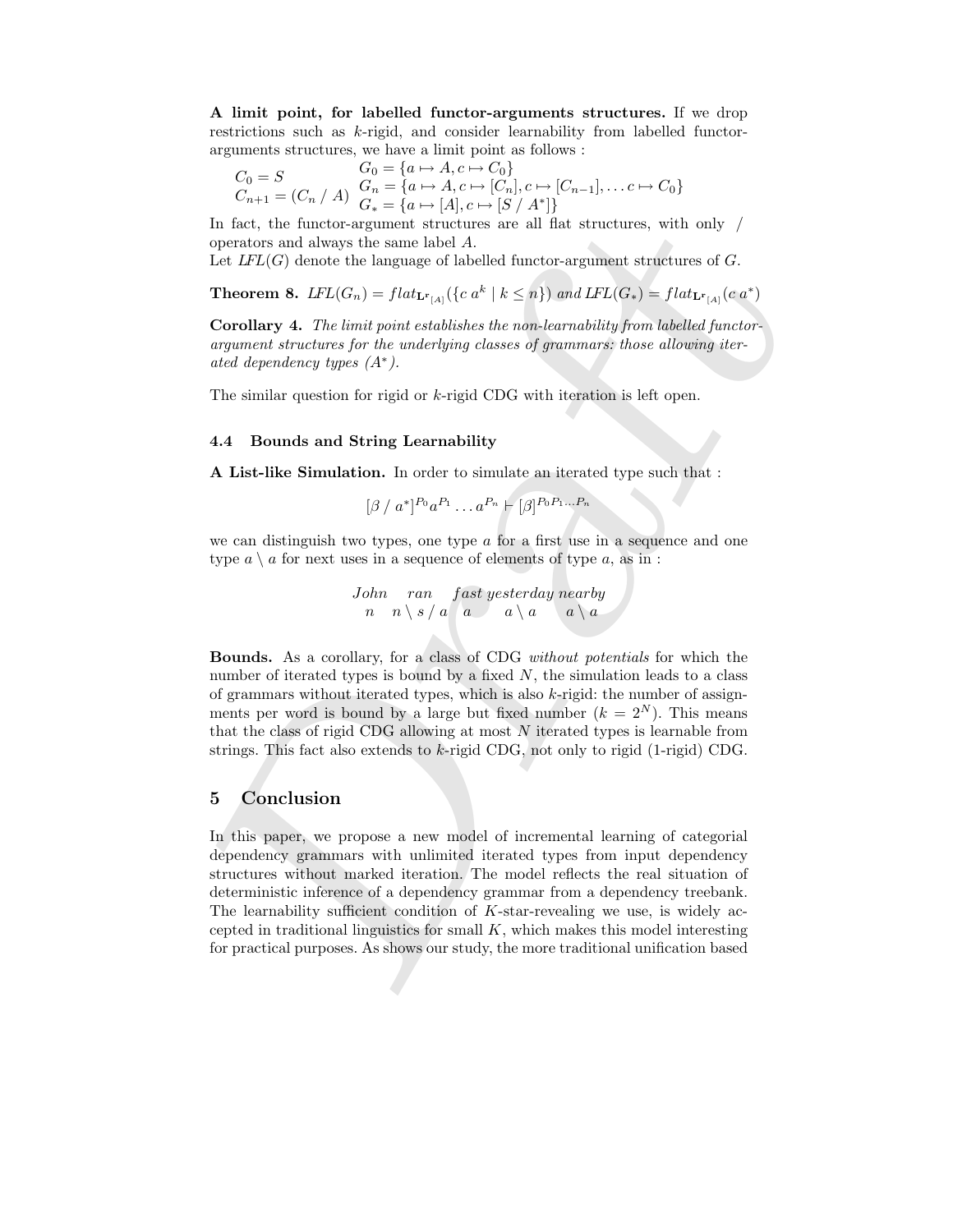A limit point, for labelled functor-arguments structures. If we drop restrictions such as  $k$ -rigid, and consider learnability from labelled functorarguments structures, we have a limit point as follows :

$$
C_0 = S
$$
  
\n
$$
C_0 = \{a \mapsto A, c \mapsto C_0\}
$$
  
\n
$$
C_{n+1} = (C_n / A) \quad G_* = \{a \mapsto A, c \mapsto [C_n], c \mapsto [C_{n-1}], \dots c \mapsto C_0\}
$$
  
\n
$$
G_* = \{a \mapsto [A], c \mapsto [S / A^*]\}
$$

In fact, the functor-argument structures are all flat structures, with only / operators and always the same label A.

Let  $LFL(G)$  denote the language of labelled functor-argument structures of G.

**Theorem 8.**  $LFL(G_n) = flat_{\mathbf{L}^{\mathbf{r}}[A]}\left( \{ c \ a^k \mid k \leq n \} \right)$  and  $LFL(G_*) = flat_{\mathbf{L}^{\mathbf{r}}[A]}(c \ a^*)$ 

Corollary 4. *The limit point establishes the non-learnability from labelled functorargument structures for the underlying classes of grammars: those allowing iterated dependency types (*A<sup>∗</sup> *).*

The similar question for rigid or k-rigid CDG with iteration is left open.

#### 4.4 Bounds and String Learnability

A List-like Simulation. In order to simulate an iterated type such that :

$$
[\beta \mid a^*]^{P_0} a^{P_1} \dots a^{P_n} \vdash [\beta]^{P_0 P_1 \dots P_n}
$$

we can distinguish two types, one type  $\alpha$  for a first use in a sequence and one type  $a \setminus a$  for next uses in a sequence of elements of type  $a$ , as in :

> John ran fast yesterday nearby  $n \quad n \setminus s / a \quad a \quad a \setminus a \quad a \setminus a$

Bounds. As a corollary, for a class of CDG *without potentials* for which the number of iterated types is bound by a fixed  $N$ , the simulation leads to a class of grammars without iterated types, which is also  $k$ -rigid: the number of assignments per word is bound by a large but fixed number  $(k = 2^N)$ . This means that the class of rigid CDG allowing at most N iterated types is learnable from strings. This fact also extends to  $k$ -rigid CDG, not only to rigid (1-rigid) CDG.

### 5 Conclusion

In fact, the functor-argument structures of all flat structures, with only /<br>In fact, the functor-argument interdentic structures, with only /<br>Dat LEL(C) denote the language of labelled functor-argument structures of G.<br> In this paper, we propose a new model of incremental learning of categorial dependency grammars with unlimited iterated types from input dependency structures without marked iteration. The model reflects the real situation of deterministic inference of a dependency grammar from a dependency treebank. The learnability sufficient condition of  $K$ -star-revealing we use, is widely accepted in traditional linguistics for small  $K$ , which makes this model interesting for practical purposes. As shows our study, the more traditional unification based